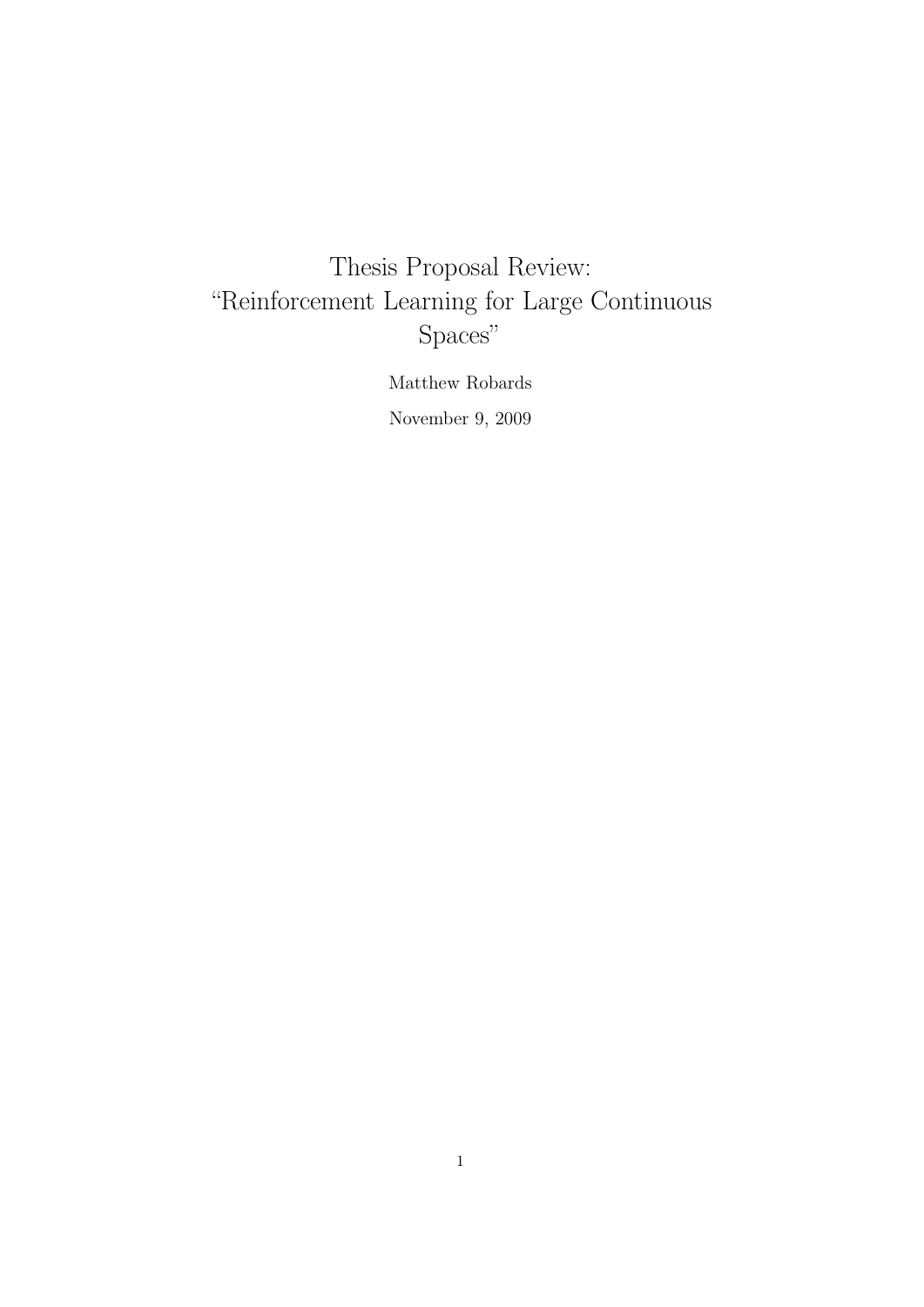# Thesis Proposal Review: "Reinforcement Learning for Large Continuous Spaces"

Matthew Robards

November 9, 2009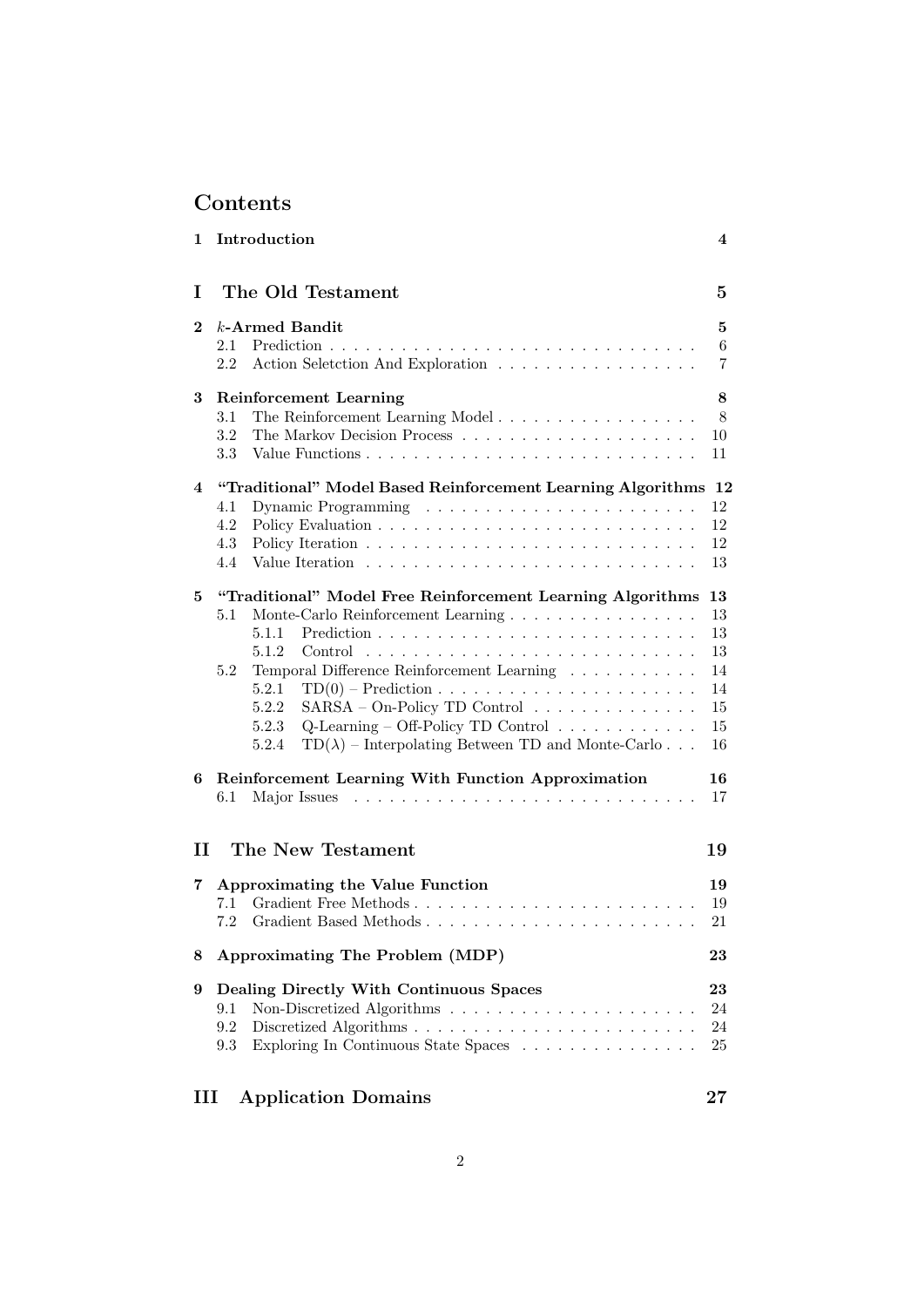## Contents

| 1        | Introduction                                                                                                                                                                                                                                                                                                                                                                                                           | 4                                                  |
|----------|------------------------------------------------------------------------------------------------------------------------------------------------------------------------------------------------------------------------------------------------------------------------------------------------------------------------------------------------------------------------------------------------------------------------|----------------------------------------------------|
| L.       | The Old Testament                                                                                                                                                                                                                                                                                                                                                                                                      | 5                                                  |
| $\bf{2}$ | $k$ -Armed Bandit<br>2.1<br>2.2<br>Action Seletction And Exploration                                                                                                                                                                                                                                                                                                                                                   | 5<br>6<br>7                                        |
| 3        | <b>Reinforcement Learning</b><br>3.1<br>The Reinforcement Learning Model<br>3.2<br>3.3                                                                                                                                                                                                                                                                                                                                 | 8<br>8<br>10<br>11                                 |
| 4        | "Traditional" Model Based Reinforcement Learning Algorithms 12<br>4.1<br>4.2<br>4.3<br>4.4                                                                                                                                                                                                                                                                                                                             | 12<br>12<br>12<br>13                               |
| 5        | "Traditional" Model Free Reinforcement Learning Algorithms<br>Monte-Carlo Reinforcement Learning<br>$5.1\,$<br>5.1.1<br>5.1.2<br>Temporal Difference Reinforcement Learning<br>5.2<br>5.2.1<br>$SARSA - On-Policy TD Control \dots \dots \dots \dots \dots$<br>5.2.2<br>Q-Learning – Off-Policy TD Control $\ldots \ldots \ldots \ldots$<br>5.2.3<br>$TD(\lambda)$ – Interpolating Between TD and Monte-Carlo<br>5.2.4 | 13<br>13<br>13<br>13<br>14<br>14<br>15<br>15<br>16 |
| 6        | Reinforcement Learning With Function Approximation<br>6.1                                                                                                                                                                                                                                                                                                                                                              | 16<br>17                                           |
| П        | The New Testament                                                                                                                                                                                                                                                                                                                                                                                                      | 19                                                 |
| 7        | <b>Approximating the Value Function</b><br>7.1<br>7.2                                                                                                                                                                                                                                                                                                                                                                  | 19<br>19<br>21                                     |
| 8        | Approximating The Problem (MDP)                                                                                                                                                                                                                                                                                                                                                                                        | 23                                                 |
| 9        | Dealing Directly With Continuous Spaces<br>9.1<br>9.2<br>Exploring In Continuous State Spaces $\hfill\ldots\ldots\ldots\ldots\ldots\ldots\ldots\ldots$<br>9.3                                                                                                                                                                                                                                                          | 23<br>24<br>24<br>25                               |

## III Application Domains 27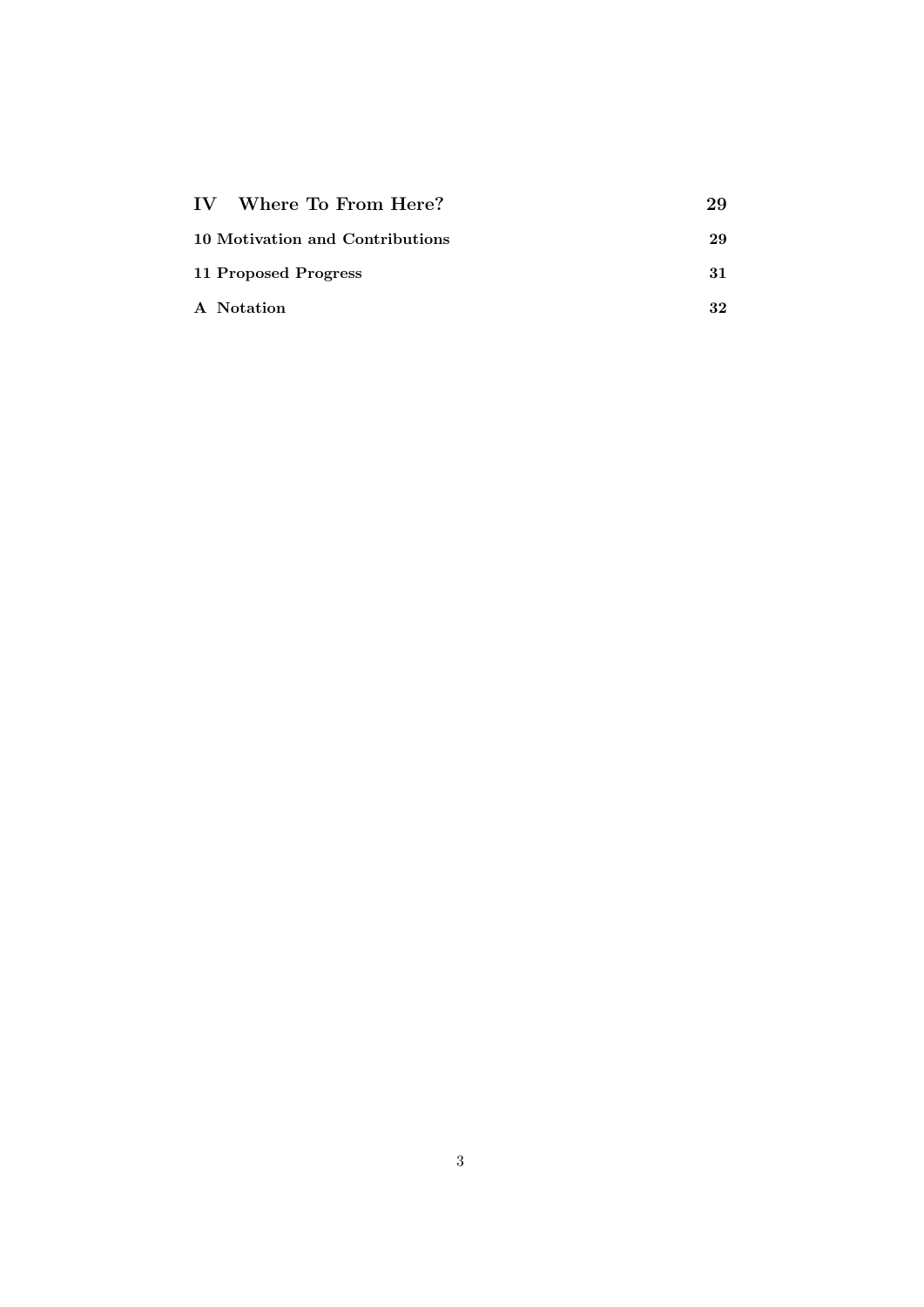| IV Where To From Here?          | 29 |
|---------------------------------|----|
| 10 Motivation and Contributions | 29 |
| 11 Proposed Progress            | 31 |
| A Notation                      | 32 |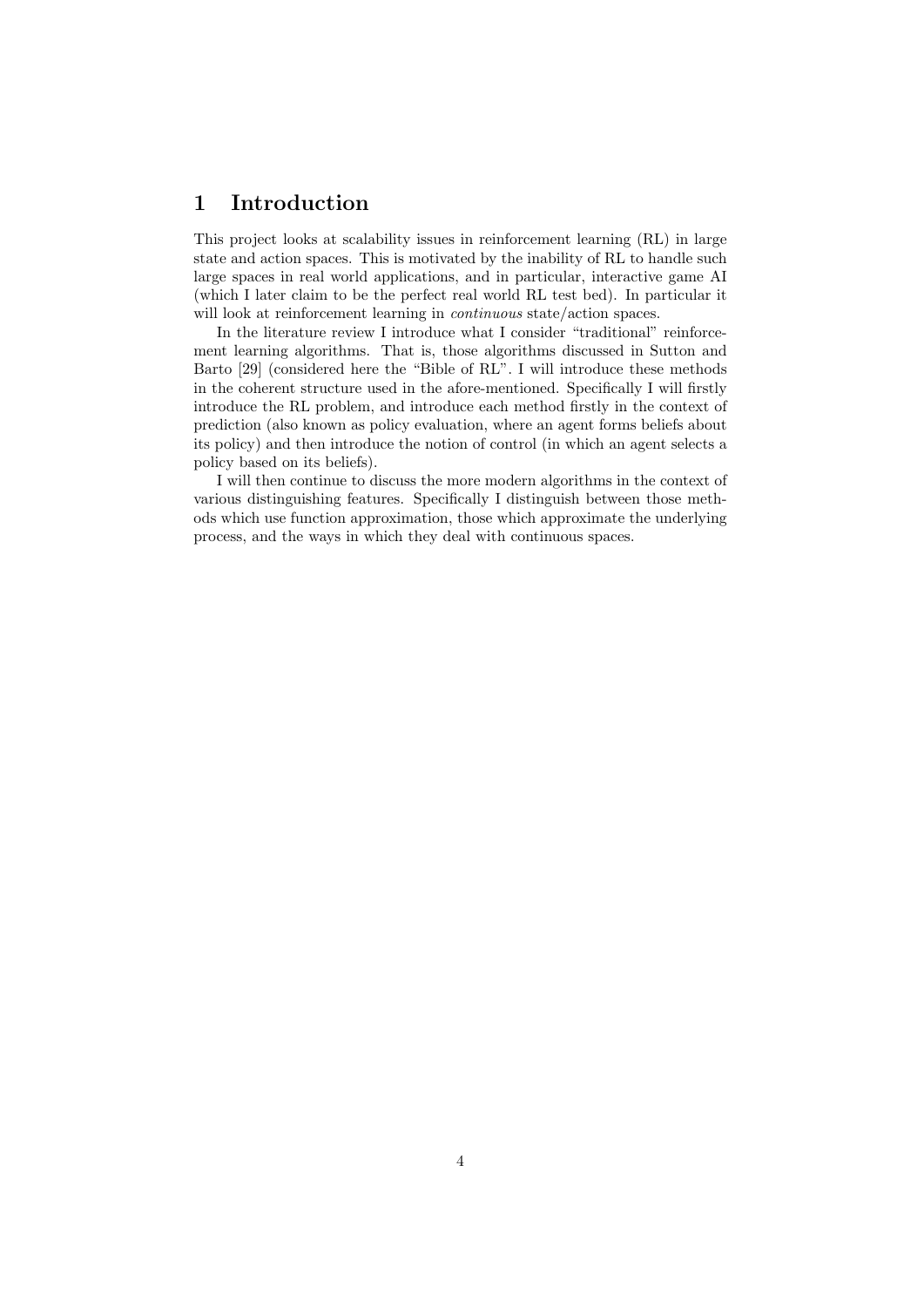## 1 Introduction

This project looks at scalability issues in reinforcement learning (RL) in large state and action spaces. This is motivated by the inability of RL to handle such large spaces in real world applications, and in particular, interactive game AI (which I later claim to be the perfect real world RL test bed). In particular it will look at reinforcement learning in *continuous* state/action spaces.

In the literature review I introduce what I consider "traditional" reinforcement learning algorithms. That is, those algorithms discussed in Sutton and Barto [29] (considered here the "Bible of RL". I will introduce these methods in the coherent structure used in the afore-mentioned. Specifically I will firstly introduce the RL problem, and introduce each method firstly in the context of prediction (also known as policy evaluation, where an agent forms beliefs about its policy) and then introduce the notion of control (in which an agent selects a policy based on its beliefs).

I will then continue to discuss the more modern algorithms in the context of various distinguishing features. Specifically I distinguish between those methods which use function approximation, those which approximate the underlying process, and the ways in which they deal with continuous spaces.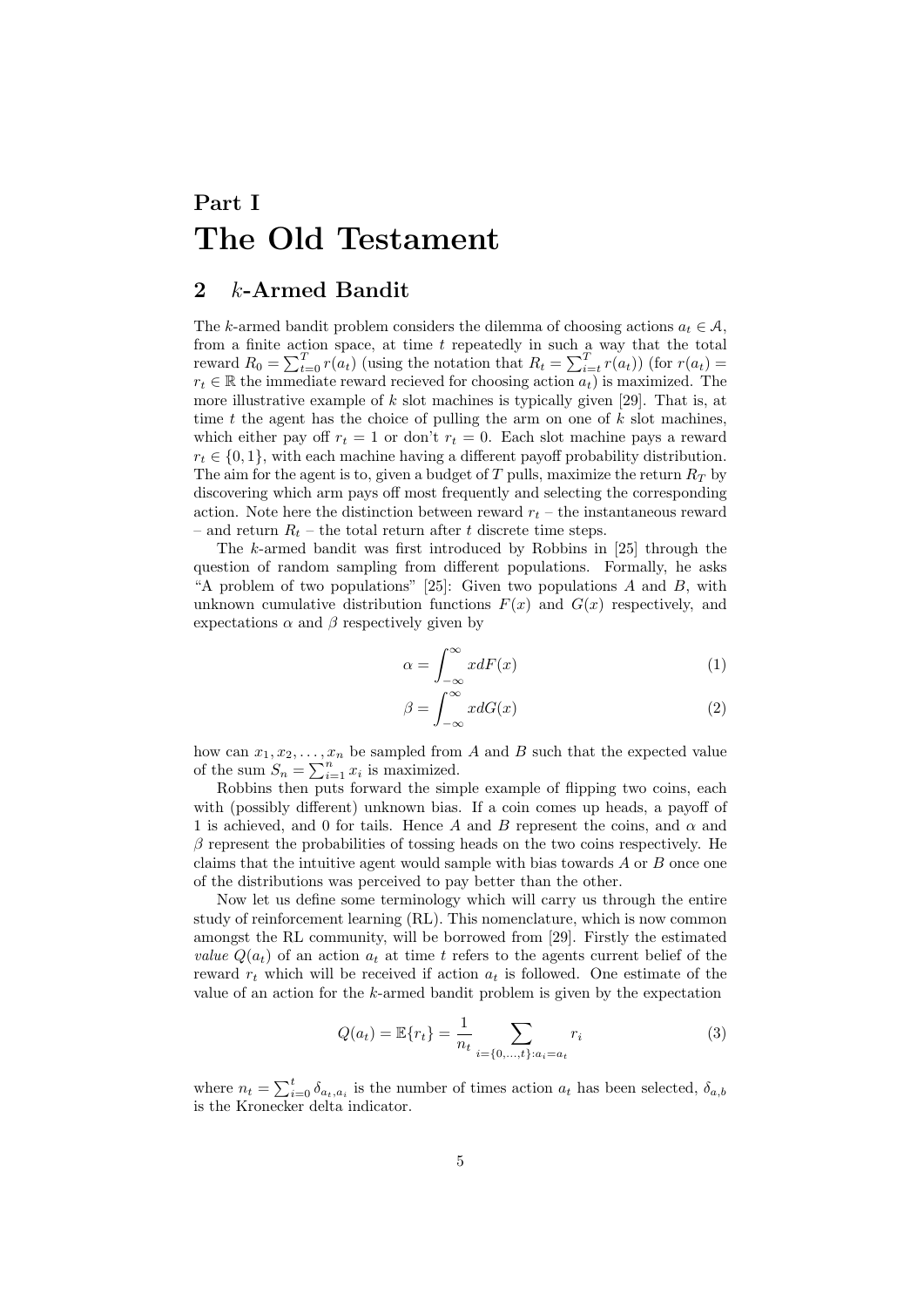# Part I The Old Testament

### 2  $k$ -Armed Bandit

The k-armed bandit problem considers the dilemma of choosing actions  $a_t \in \mathcal{A}$ , from a finite action space, at time  $t$  repeatedly in such a way that the total reward  $R_0 = \sum_{t=0}^{T} r(a_t)$  (using the notation that  $R_t = \sum_{i=t}^{T} r(a_t)$ ) (for  $r(a_t) =$  $r_t \in \mathbb{R}$  the immediate reward recieved for choosing action  $a_t$ ) is maximized. The more illustrative example of  $k$  slot machines is typically given [29]. That is, at time t the agent has the choice of pulling the arm on one of  $k$  slot machines, which either pay off  $r_t = 1$  or don't  $r_t = 0$ . Each slot machine pays a reward  $r_t \in \{0, 1\}$ , with each machine having a different payoff probability distribution. The aim for the agent is to, given a budget of T pulls, maximize the return  $R_T$  by discovering which arm pays off most frequently and selecting the corresponding action. Note here the distinction between reward  $r_t$  – the instantaneous reward – and return  $R_t$  – the total return after t discrete time steps.

The k-armed bandit was first introduced by Robbins in [25] through the question of random sampling from different populations. Formally, he asks "A problem of two populations" [25]: Given two populations  $A$  and  $B$ , with unknown cumulative distribution functions  $F(x)$  and  $G(x)$  respectively, and expectations  $\alpha$  and  $\beta$  respectively given by

$$
\alpha = \int_{-\infty}^{\infty} x dF(x) \tag{1}
$$

$$
\beta = \int_{-\infty}^{\infty} x dG(x) \tag{2}
$$

how can  $x_1, x_2, \ldots, x_n$  be sampled from A and B such that the expected value of the sum  $S_n = \sum_{i=1}^n x_i$  is maximized.

Robbins then puts forward the simple example of flipping two coins, each with (possibly different) unknown bias. If a coin comes up heads, a payoff of 1 is achieved, and 0 for tails. Hence A and B represent the coins, and  $\alpha$  and  $\beta$  represent the probabilities of tossing heads on the two coins respectively. He claims that the intuitive agent would sample with bias towards A or B once one of the distributions was perceived to pay better than the other.

Now let us define some terminology which will carry us through the entire study of reinforcement learning (RL). This nomenclature, which is now common amongst the RL community, will be borrowed from [29]. Firstly the estimated *value*  $Q(a_t)$  of an action  $a_t$  at time t refers to the agents current belief of the reward  $r_t$  which will be received if action  $a_t$  is followed. One estimate of the value of an action for the k-armed bandit problem is given by the expectation

$$
Q(a_t) = \mathbb{E}\{r_t\} = \frac{1}{n_t} \sum_{i=\{0,\dots,t\}:a_i = a_t} r_i
$$
 (3)

where  $n_t = \sum_{i=0}^t \delta_{a_t, a_i}$  is the number of times action  $a_t$  has been selected,  $\delta_{a,b}$ is the Kronecker delta indicator.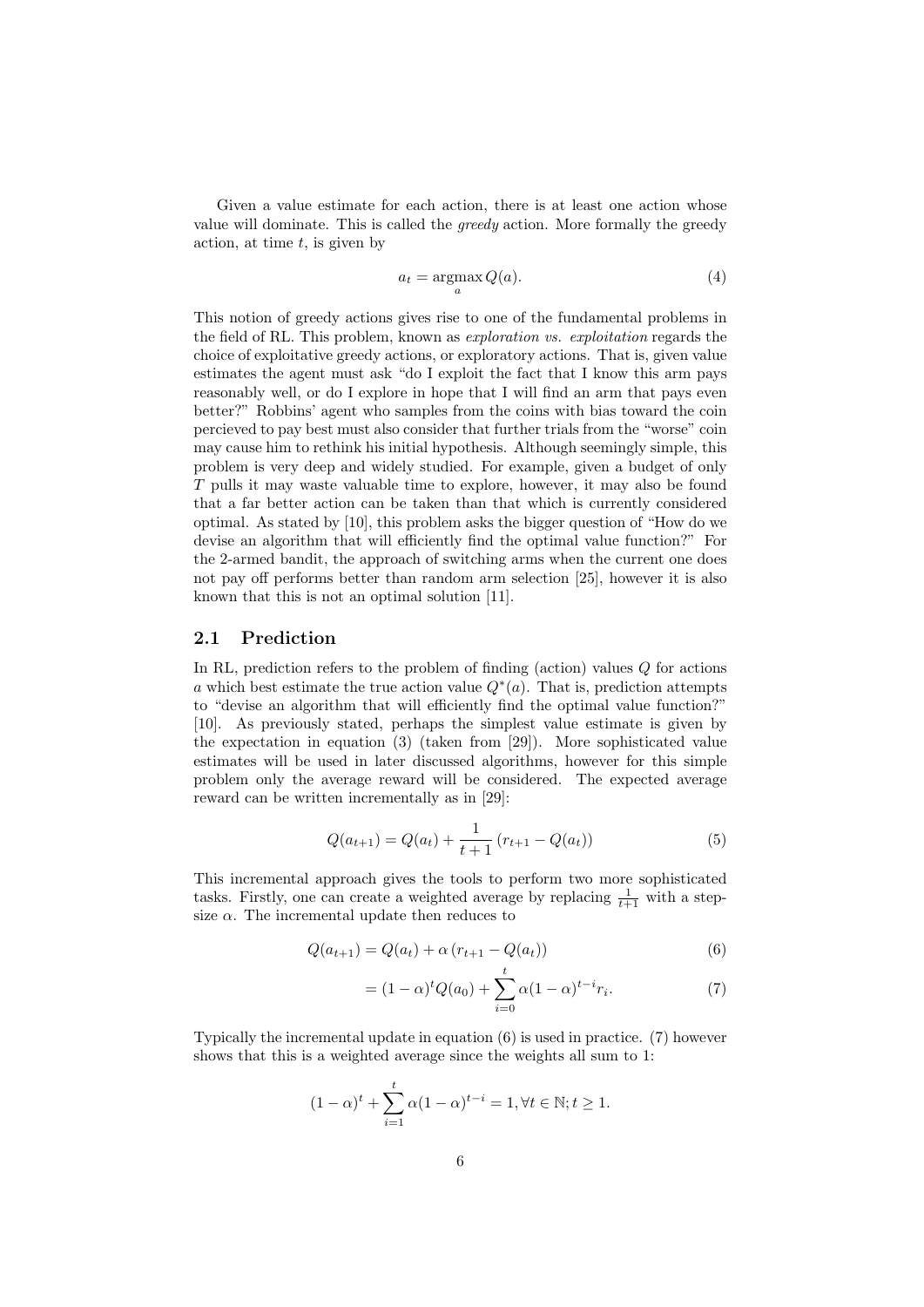Given a value estimate for each action, there is at least one action whose value will dominate. This is called the *greedy* action. More formally the greedy action, at time  $t$ , is given by

$$
a_t = \operatorname*{argmax}_a Q(a). \tag{4}
$$

This notion of greedy actions gives rise to one of the fundamental problems in the field of RL. This problem, known as *exploration vs. exploitation* regards the choice of exploitative greedy actions, or exploratory actions. That is, given value estimates the agent must ask "do I exploit the fact that I know this arm pays reasonably well, or do I explore in hope that I will find an arm that pays even better?" Robbins' agent who samples from the coins with bias toward the coin percieved to pay best must also consider that further trials from the "worse" coin may cause him to rethink his initial hypothesis. Although seemingly simple, this problem is very deep and widely studied. For example, given a budget of only T pulls it may waste valuable time to explore, however, it may also be found that a far better action can be taken than that which is currently considered optimal. As stated by [10], this problem asks the bigger question of "How do we devise an algorithm that will efficiently find the optimal value function?" For the 2-armed bandit, the approach of switching arms when the current one does not pay off performs better than random arm selection [25], however it is also known that this is not an optimal solution [11].

#### 2.1 Prediction

In RL, prediction refers to the problem of finding (action) values  $Q$  for actions a which best estimate the true action value  $Q^*(a)$ . That is, prediction attempts to "devise an algorithm that will efficiently find the optimal value function?" [10]. As previously stated, perhaps the simplest value estimate is given by the expectation in equation (3) (taken from [29]). More sophisticated value estimates will be used in later discussed algorithms, however for this simple problem only the average reward will be considered. The expected average reward can be written incrementally as in [29]:

$$
Q(a_{t+1}) = Q(a_t) + \frac{1}{t+1} (r_{t+1} - Q(a_t))
$$
\n(5)

This incremental approach gives the tools to perform two more sophisticated tasks. Firstly, one can create a weighted average by replacing  $\frac{1}{t+1}$  with a stepsize  $\alpha$ . The incremental update then reduces to

$$
Q(a_{t+1}) = Q(a_t) + \alpha (r_{t+1} - Q(a_t))
$$
\n(6)

$$
= (1 - \alpha)^t Q(a_0) + \sum_{i=0}^t \alpha (1 - \alpha)^{t - i} r_i.
$$
 (7)

Typically the incremental update in equation (6) is used in practice. (7) however shows that this is a weighted average since the weights all sum to 1:

$$
(1 - \alpha)^{t} + \sum_{i=1}^{t} \alpha (1 - \alpha)^{t-i} = 1, \forall t \in \mathbb{N}; t \ge 1.
$$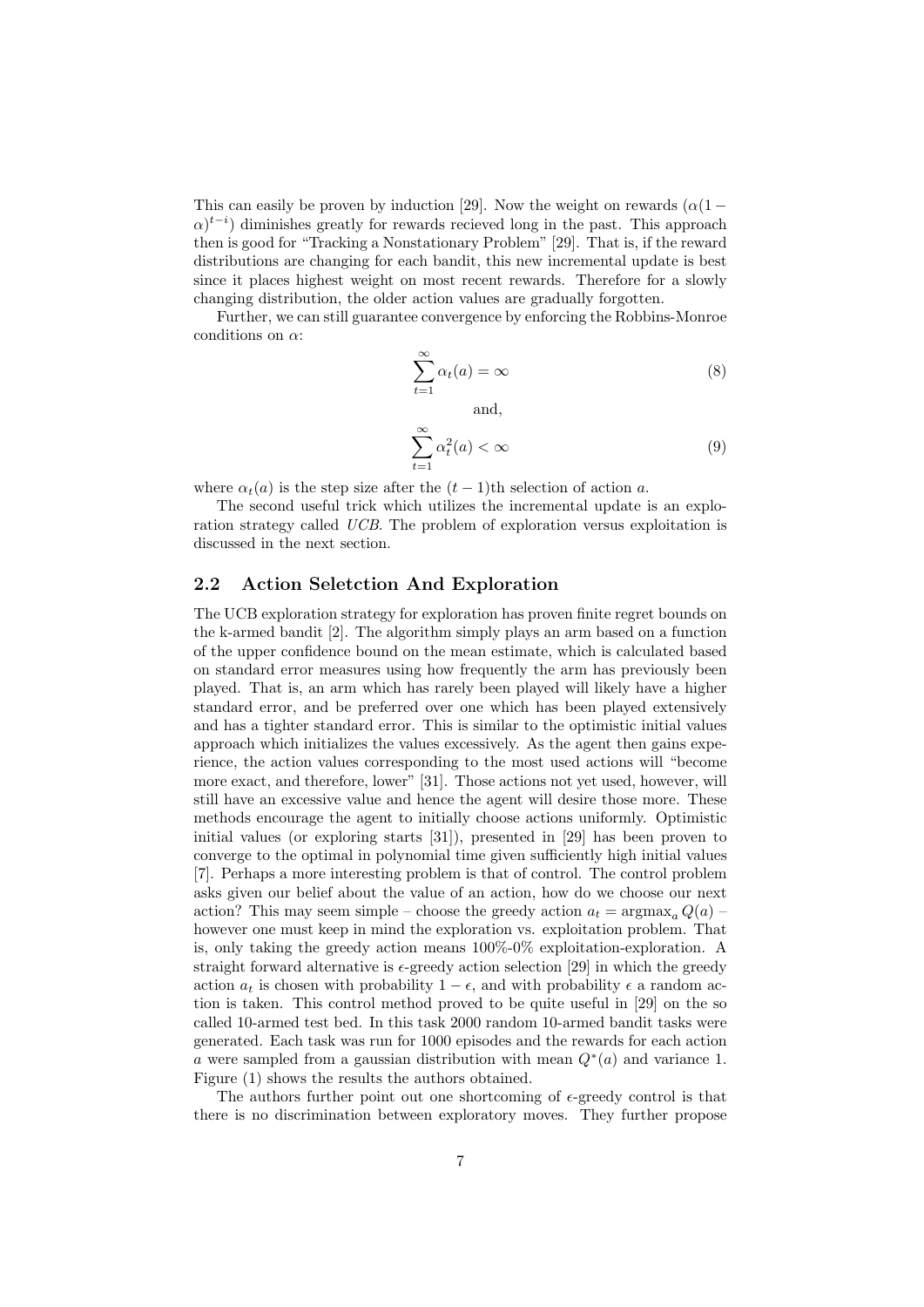This can easily be proven by induction [29]. Now the weight on rewards  $(\alpha(1 \alpha$ <sup>t-i</sup>) diminishes greatly for rewards recieved long in the past. This approach then is good for "Tracking a Nonstationary Problem" [29]. That is, if the reward distributions are changing for each bandit, this new incremental update is best since it places highest weight on most recent rewards. Therefore for a slowly changing distribution, the older action values are gradually forgotten.

Further, we can still guarantee convergence by enforcing the Robbins-Monroe conditions on  $\alpha$ :

$$
\sum_{t=1}^{\infty} \alpha_t(a) = \infty \tag{8}
$$

and,

$$
\sum_{t=1}^{\infty} \alpha_t^2(a) < \infty \tag{9}
$$

where  $\alpha_t(a)$  is the step size after the  $(t-1)$ th selection of action a.

The second useful trick which utilizes the incremental update is an exploration strategy called UCB. The problem of exploration versus exploitation is discussed in the next section.

### 2.2 Action Seletction And Exploration

The UCB exploration strategy for exploration has proven finite regret bounds on the k-armed bandit [2]. The algorithm simply plays an arm based on a function of the upper confidence bound on the mean estimate, which is calculated based on standard error measures using how frequently the arm has previously been played. That is, an arm which has rarely been played will likely have a higher standard error, and be preferred over one which has been played extensively and has a tighter standard error. This is similar to the optimistic initial values approach which initializes the values excessively. As the agent then gains experience, the action values corresponding to the most used actions will "become more exact, and therefore, lower" [31]. Those actions not yet used, however, will still have an excessive value and hence the agent will desire those more. These methods encourage the agent to initially choose actions uniformly. Optimistic initial values (or exploring starts [31]), presented in [29] has been proven to converge to the optimal in polynomial time given sufficiently high initial values [7]. Perhaps a more interesting problem is that of control. The control problem asks given our belief about the value of an action, how do we choose our next action? This may seem simple – choose the greedy action  $a_t = \text{argmax}_a Q(a)$  – however one must keep in mind the exploration vs. exploitation problem. That is, only taking the greedy action means 100%-0% exploitation-exploration. A straight forward alternative is  $\epsilon$ -greedy action selection [29] in which the greedy action  $a_t$  is chosen with probability  $1 - \epsilon$ , and with probability  $\epsilon$  a random action is taken. This control method proved to be quite useful in [29] on the so called 10-armed test bed. In this task 2000 random 10-armed bandit tasks were generated. Each task was run for 1000 episodes and the rewards for each action a were sampled from a gaussian distribution with mean  $Q^*(a)$  and variance 1. Figure (1) shows the results the authors obtained.

The authors further point out one shortcoming of  $\epsilon$ -greedy control is that there is no discrimination between exploratory moves. They further propose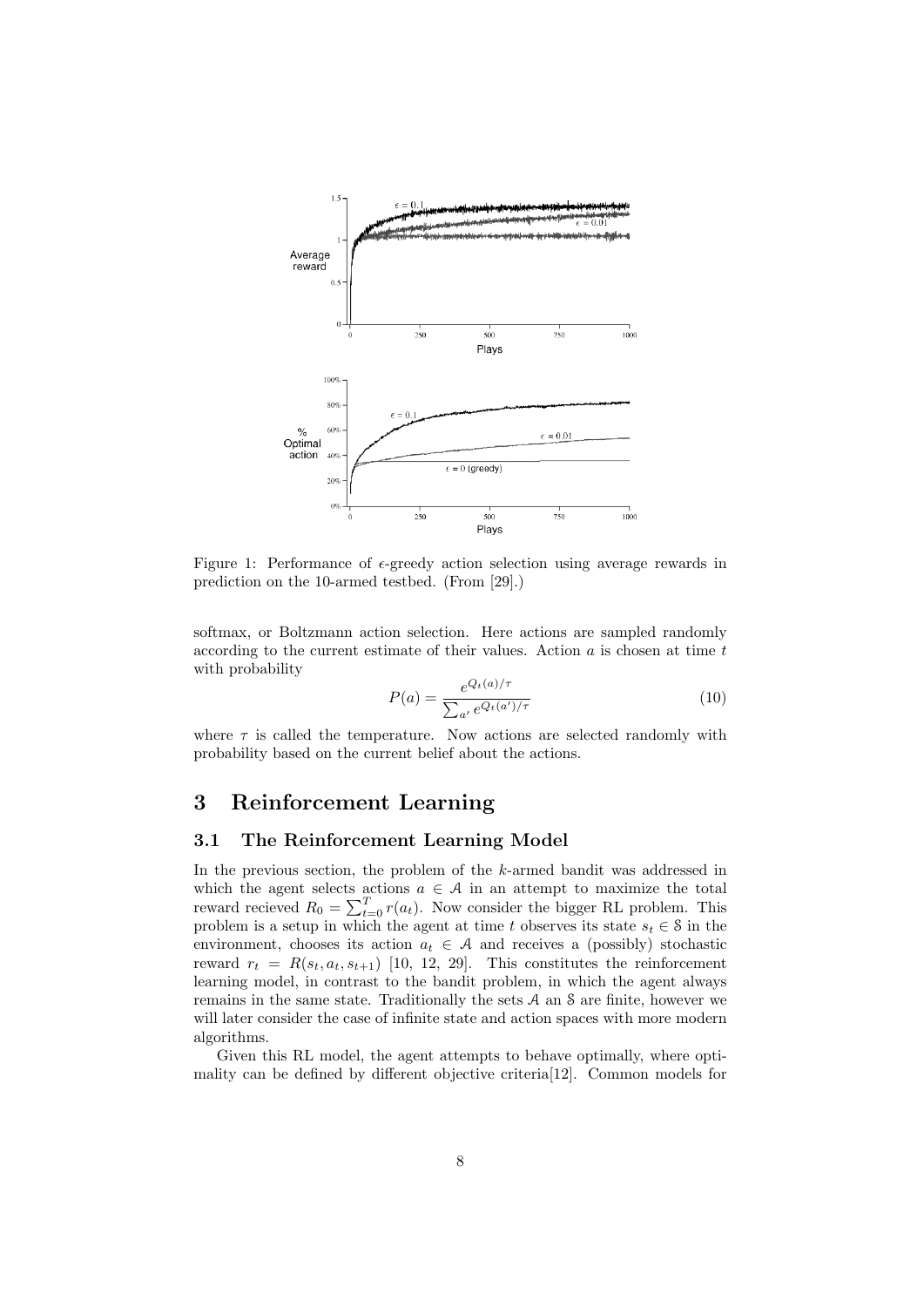

Figure 1: Performance of  $\epsilon$ -greedy action selection using average rewards in prediction on the 10-armed testbed. (From [29].)

softmax, or Boltzmann action selection. Here actions are sampled randomly according to the current estimate of their values. Action  $a$  is chosen at time  $t$ with probability

$$
P(a) = \frac{e^{Q_t(a)/\tau}}{\sum_{a'} e^{Q_t(a')/\tau}}
$$
(10)

where  $\tau$  is called the temperature. Now actions are selected randomly with probability based on the current belief about the actions.

### 3 Reinforcement Learning

#### 3.1 The Reinforcement Learning Model

In the previous section, the problem of the k-armed bandit was addressed in which the agent selects actions  $a \in \mathcal{A}$  in an attempt to maximize the total reward recieved  $R_0 = \sum_{t=0}^{T} r(a_t)$ . Now consider the bigger RL problem. This problem is a setup in which the agent at time t observes its state  $s_t \in \mathcal{S}$  in the environment, chooses its action  $a_t \in \mathcal{A}$  and receives a (possibly) stochastic reward  $r_t = R(s_t, a_t, s_{t+1})$  [10, 12, 29]. This constitutes the reinforcement learning model, in contrast to the bandit problem, in which the agent always remains in the same state. Traditionally the sets  $A$  an  $S$  are finite, however we will later consider the case of infinite state and action spaces with more modern algorithms.

Given this RL model, the agent attempts to behave optimally, where optimality can be defined by different objective criteria[12]. Common models for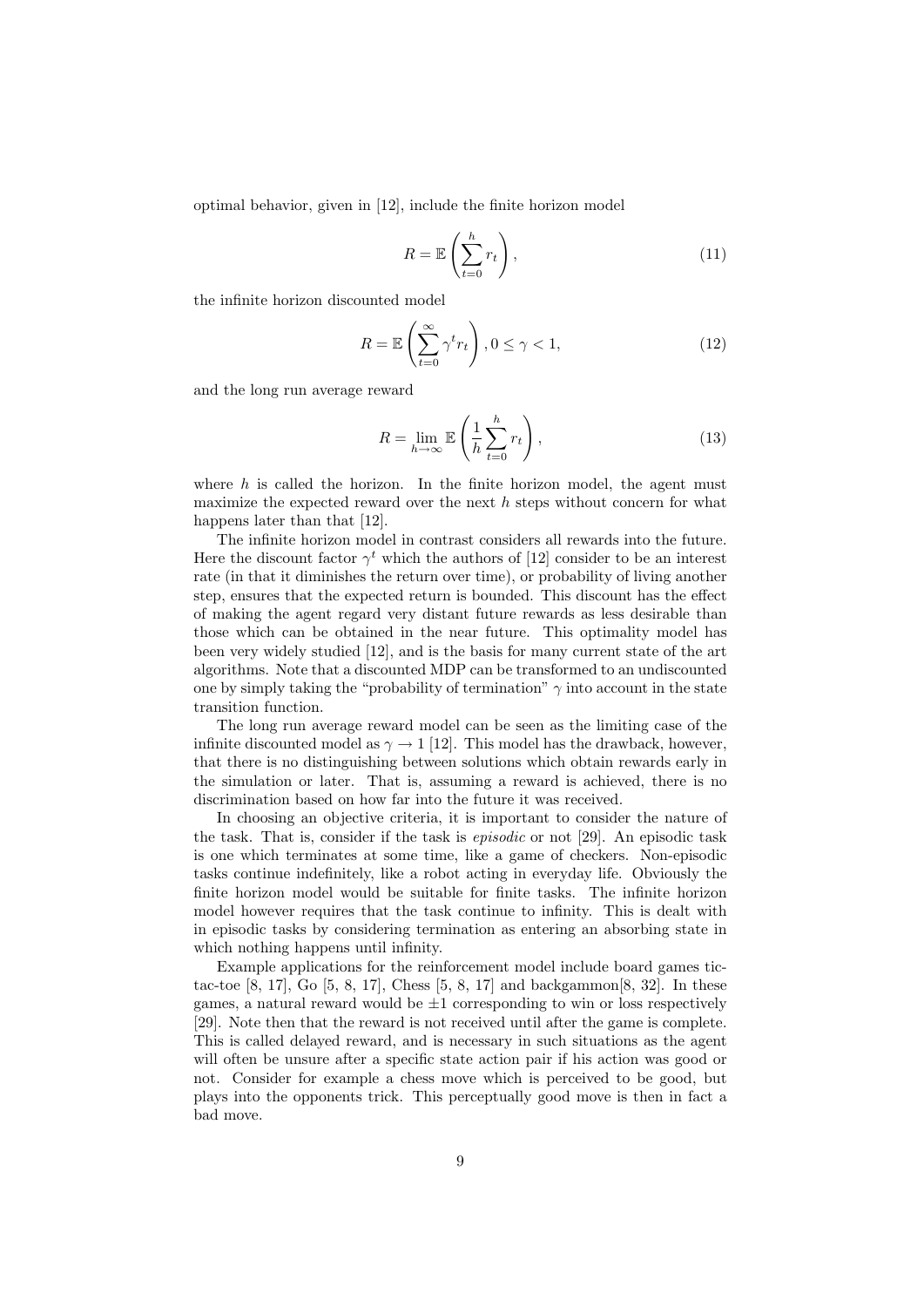optimal behavior, given in [12], include the finite horizon model

$$
R = \mathbb{E}\left(\sum_{t=0}^{h} r_t\right),\tag{11}
$$

the infinite horizon discounted model

$$
R = \mathbb{E}\left(\sum_{t=0}^{\infty} \gamma^t r_t\right), 0 \le \gamma < 1,\tag{12}
$$

and the long run average reward

$$
R = \lim_{h \to \infty} \mathbb{E}\left(\frac{1}{h} \sum_{t=0}^{h} r_t\right),\tag{13}
$$

where  $h$  is called the horizon. In the finite horizon model, the agent must maximize the expected reward over the next  $h$  steps without concern for what happens later than that [12].

The infinite horizon model in contrast considers all rewards into the future. Here the discount factor  $\gamma^t$  which the authors of [12] consider to be an interest rate (in that it diminishes the return over time), or probability of living another step, ensures that the expected return is bounded. This discount has the effect of making the agent regard very distant future rewards as less desirable than those which can be obtained in the near future. This optimality model has been very widely studied [12], and is the basis for many current state of the art algorithms. Note that a discounted MDP can be transformed to an undiscounted one by simply taking the "probability of termination"  $\gamma$  into account in the state transition function.

The long run average reward model can be seen as the limiting case of the infinite discounted model as  $\gamma \rightarrow 1$  [12]. This model has the drawback, however, that there is no distinguishing between solutions which obtain rewards early in the simulation or later. That is, assuming a reward is achieved, there is no discrimination based on how far into the future it was received.

In choosing an objective criteria, it is important to consider the nature of the task. That is, consider if the task is episodic or not [29]. An episodic task is one which terminates at some time, like a game of checkers. Non-episodic tasks continue indefinitely, like a robot acting in everyday life. Obviously the finite horizon model would be suitable for finite tasks. The infinite horizon model however requires that the task continue to infinity. This is dealt with in episodic tasks by considering termination as entering an absorbing state in which nothing happens until infinity.

Example applications for the reinforcement model include board games tictac-toe  $[8, 17]$ , Go  $[5, 8, 17]$ , Chess  $[5, 8, 17]$  and backgammon $[8, 32]$ . In these games, a natural reward would be  $\pm 1$  corresponding to win or loss respectively [29]. Note then that the reward is not received until after the game is complete. This is called delayed reward, and is necessary in such situations as the agent will often be unsure after a specific state action pair if his action was good or not. Consider for example a chess move which is perceived to be good, but plays into the opponents trick. This perceptually good move is then in fact a bad move.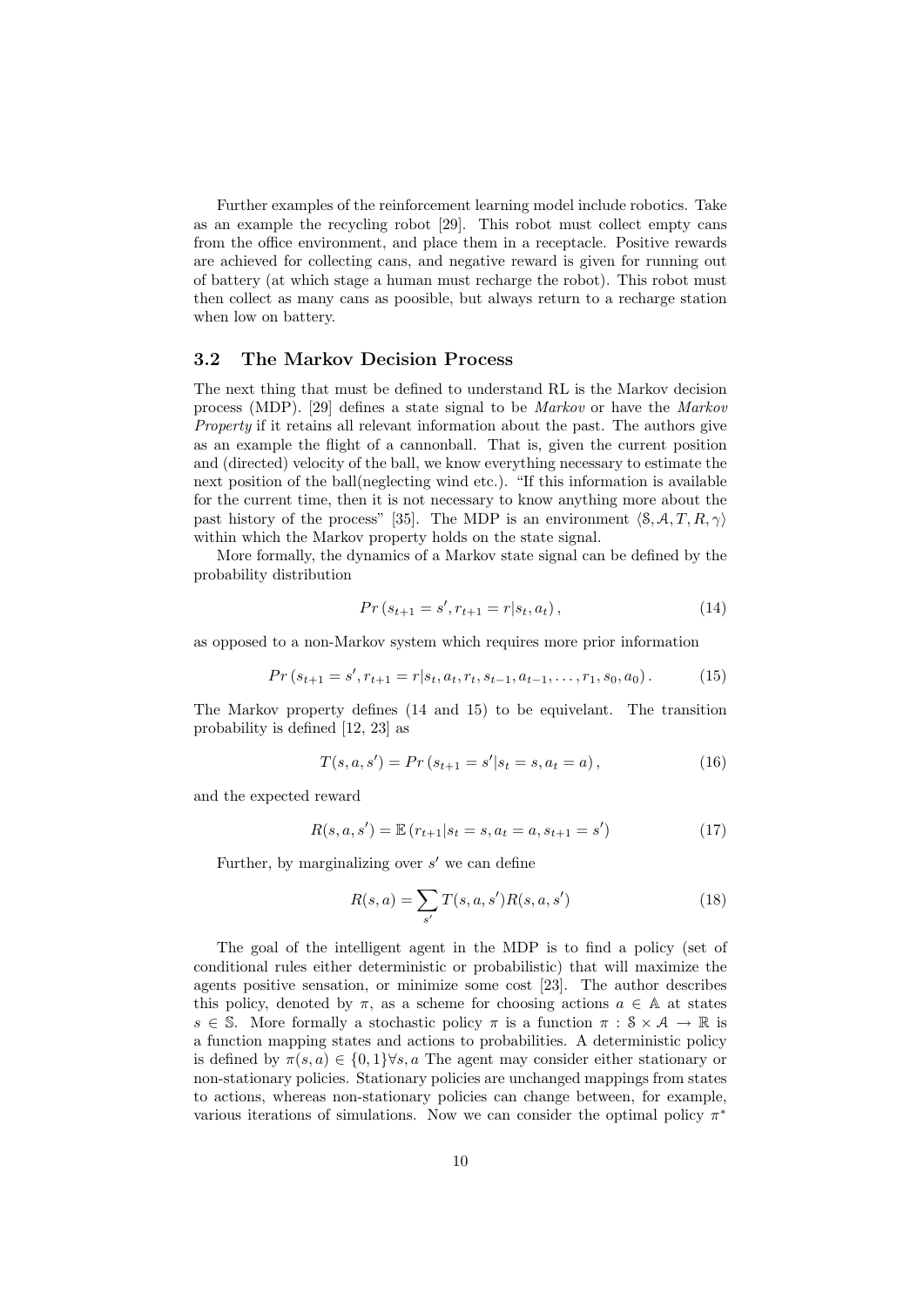Further examples of the reinforcement learning model include robotics. Take as an example the recycling robot [29]. This robot must collect empty cans from the office environment, and place them in a receptacle. Positive rewards are achieved for collecting cans, and negative reward is given for running out of battery (at which stage a human must recharge the robot). This robot must then collect as many cans as poosible, but always return to a recharge station when low on battery.

#### 3.2 The Markov Decision Process

The next thing that must be defined to understand RL is the Markov decision process (MDP). [29] defines a state signal to be Markov or have the Markov Property if it retains all relevant information about the past. The authors give as an example the flight of a cannonball. That is, given the current position and (directed) velocity of the ball, we know everything necessary to estimate the next position of the ball(neglecting wind etc.). "If this information is available for the current time, then it is not necessary to know anything more about the past history of the process" [35]. The MDP is an environment  $\langle \mathcal{S}, A, T, R, \gamma \rangle$ within which the Markov property holds on the state signal.

More formally, the dynamics of a Markov state signal can be defined by the probability distribution

$$
Pr(s_{t+1} = s', r_{t+1} = r | s_t, a_t),
$$
\n(14)

as opposed to a non-Markov system which requires more prior information

$$
Pr(s_{t+1} = s', r_{t+1} = r | s_t, a_t, r_t, s_{t-1}, a_{t-1}, \dots, r_1, s_0, a_0).
$$
 (15)

The Markov property defines (14 and 15) to be equivelant. The transition probability is defined [12, 23] as

$$
T(s, a, s') = Pr(s_{t+1} = s'|s_t = s, a_t = a),
$$
\n(16)

and the expected reward

$$
R(s, a, s') = \mathbb{E}(r_{t+1}|s_t = s, a_t = a, s_{t+1} = s')
$$
\n(17)

Further, by marginalizing over  $s'$  we can define

$$
R(s, a) = \sum_{s'} T(s, a, s') R(s, a, s')
$$
\n(18)

The goal of the intelligent agent in the MDP is to find a policy (set of conditional rules either deterministic or probabilistic) that will maximize the agents positive sensation, or minimize some cost [23]. The author describes this policy, denoted by  $\pi$ , as a scheme for choosing actions  $a \in A$  at states  $s \in \mathbb{S}$ . More formally a stochastic policy  $\pi$  is a function  $\pi : \mathcal{S} \times \mathcal{A} \to \mathbb{R}$  is a function mapping states and actions to probabilities. A deterministic policy is defined by  $\pi(s, a) \in \{0, 1\} \forall s, a$  The agent may consider either stationary or non-stationary policies. Stationary policies are unchanged mappings from states to actions, whereas non-stationary policies can change between, for example, various iterations of simulations. Now we can consider the optimal policy  $\pi^*$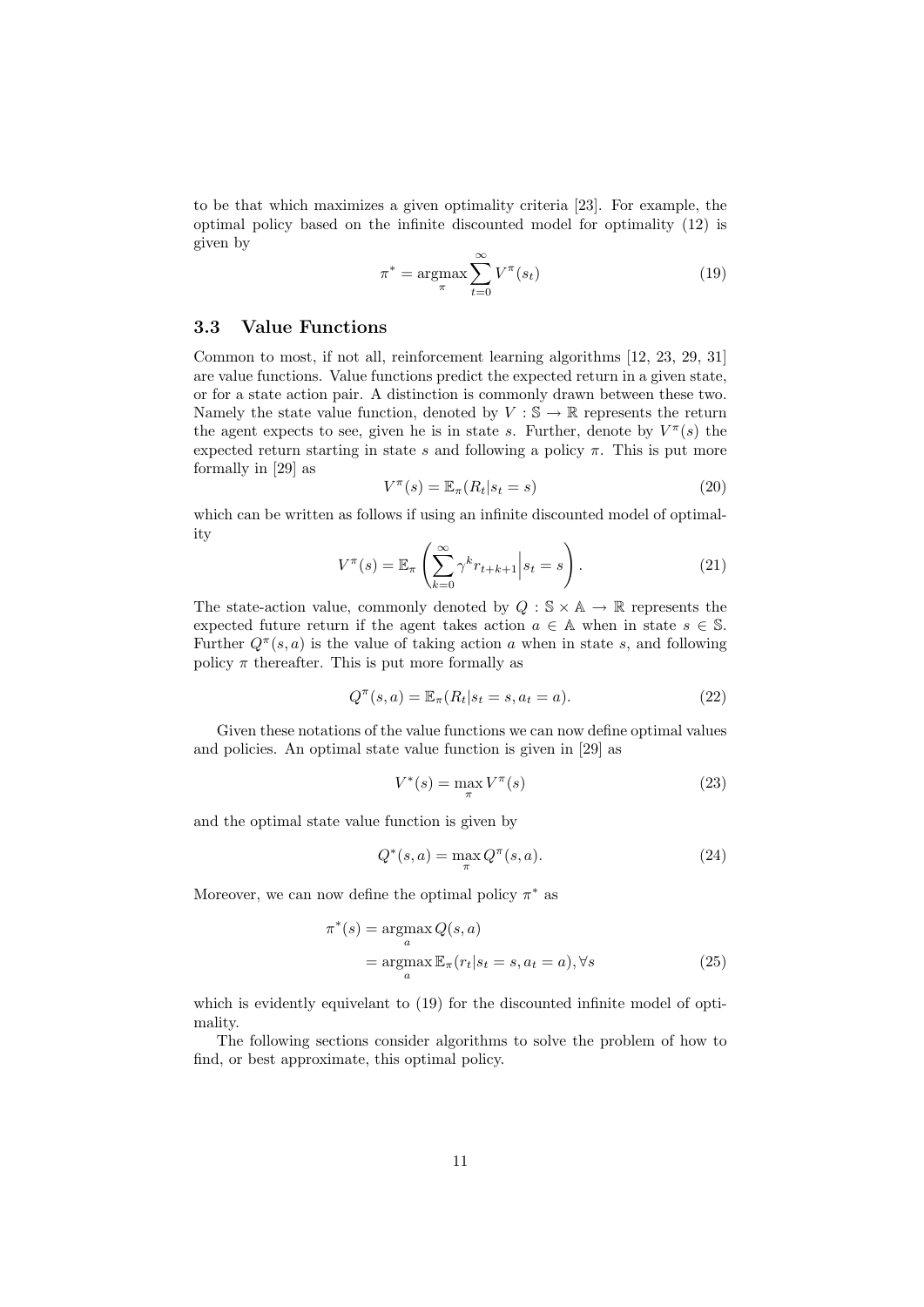to be that which maximizes a given optimality criteria [23]. For example, the optimal policy based on the infinite discounted model for optimality (12) is given by

$$
\pi^* = \underset{\pi}{\operatorname{argmax}} \sum_{t=0}^{\infty} V^{\pi}(s_t)
$$
 (19)

#### 3.3 Value Functions

Common to most, if not all, reinforcement learning algorithms [12, 23, 29, 31] are value functions. Value functions predict the expected return in a given state, or for a state action pair. A distinction is commonly drawn between these two. Namely the state value function, denoted by  $V : \mathbb{S} \to \mathbb{R}$  represents the return the agent expects to see, given he is in state s. Further, denote by  $V^{\pi}(s)$  the expected return starting in state s and following a policy  $\pi$ . This is put more formally in [29] as

$$
V^{\pi}(s) = \mathbb{E}_{\pi}(R_t|s_t = s)
$$
\n(20)

which can be written as follows if using an infinite discounted model of optimality

$$
V^{\pi}(s) = \mathbb{E}_{\pi} \left( \sum_{k=0}^{\infty} \gamma^k r_{t+k+1} \Big| s_t = s \right). \tag{21}
$$

The state-action value, commonly denoted by  $Q : \mathbb{S} \times \mathbb{A} \to \mathbb{R}$  represents the expected future return if the agent takes action  $a \in A$  when in state  $s \in \mathbb{S}$ . Further  $Q^{\pi}(s, a)$  is the value of taking action a when in state s, and following policy  $\pi$  thereafter. This is put more formally as

$$
Q^{\pi}(s, a) = \mathbb{E}_{\pi}(R_t | s_t = s, a_t = a).
$$
 (22)

Given these notations of the value functions we can now define optimal values and policies. An optimal state value function is given in [29] as

$$
V^*(s) = \max_{\pi} V^{\pi}(s) \tag{23}
$$

and the optimal state value function is given by

$$
Q^*(s, a) = \max_{\pi} Q^{\pi}(s, a).
$$
 (24)

Moreover, we can now define the optimal policy  $\pi^*$  as

$$
\pi^*(s) = \underset{a}{\operatorname{argmax}} Q(s, a)
$$
  
= 
$$
\underset{a}{\operatorname{argmax}} \mathbb{E}_{\pi}(r_t|s_t = s, a_t = a), \forall s
$$
 (25)

which is evidently equivelant to  $(19)$  for the discounted infinite model of optimality.

The following sections consider algorithms to solve the problem of how to find, or best approximate, this optimal policy.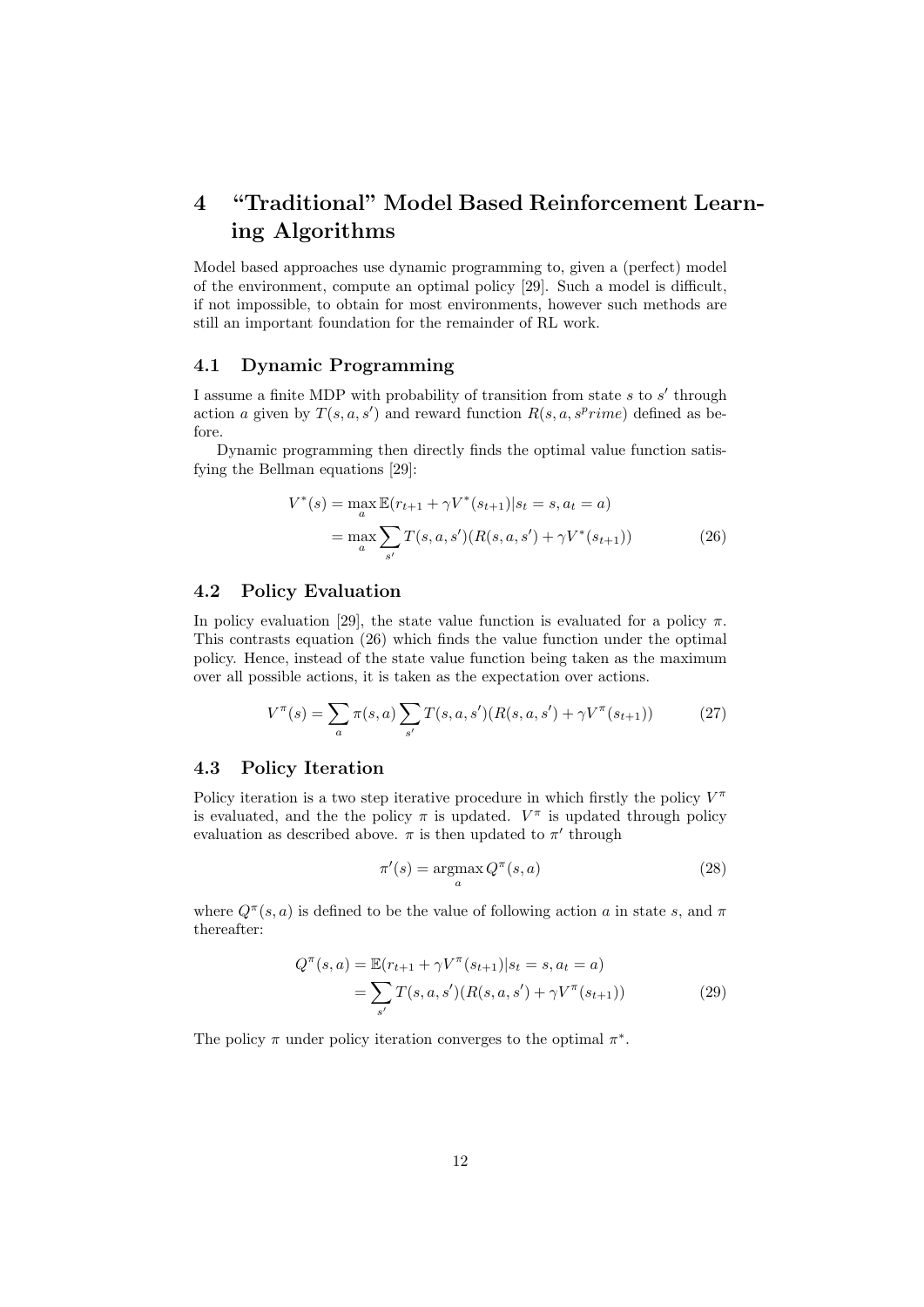## 4 "Traditional" Model Based Reinforcement Learning Algorithms

Model based approaches use dynamic programming to, given a (perfect) model of the environment, compute an optimal policy [29]. Such a model is difficult, if not impossible, to obtain for most environments, however such methods are still an important foundation for the remainder of RL work.

#### 4.1 Dynamic Programming

I assume a finite MDP with probability of transition from state  $s$  to  $s'$  through action a given by  $T(s, a, s')$  and reward function  $R(s, a, s^prime)$  defined as before.

Dynamic programming then directly finds the optimal value function satisfying the Bellman equations [29]:

$$
V^*(s) = \max_{a} \mathbb{E}(r_{t+1} + \gamma V^*(s_{t+1}) | s_t = s, a_t = a)
$$
  
= 
$$
\max_{a} \sum_{s'} T(s, a, s') (R(s, a, s') + \gamma V^*(s_{t+1}))
$$
 (26)

### 4.2 Policy Evaluation

In policy evaluation [29], the state value function is evaluated for a policy  $\pi$ . This contrasts equation (26) which finds the value function under the optimal policy. Hence, instead of the state value function being taken as the maximum over all possible actions, it is taken as the expectation over actions.

$$
V^{\pi}(s) = \sum_{a} \pi(s, a) \sum_{s'} T(s, a, s') (R(s, a, s') + \gamma V^{\pi}(s_{t+1}))
$$
 (27)

#### 4.3 Policy Iteration

Policy iteration is a two step iterative procedure in which firstly the policy  $V^{\pi}$ is evaluated, and the the policy  $\pi$  is updated.  $V^{\pi}$  is updated through policy evaluation as described above.  $\pi$  is then updated to  $\pi'$  through

$$
\pi'(s) = \underset{a}{\operatorname{argmax}} Q^{\pi}(s, a)
$$
\n(28)

where  $Q^{\pi}(s, a)$  is defined to be the value of following action a in state s, and  $\pi$ thereafter:

$$
Q^{\pi}(s, a) = \mathbb{E}(r_{t+1} + \gamma V^{\pi}(s_{t+1}) | s_t = s, a_t = a)
$$
  
= 
$$
\sum_{s'} T(s, a, s') (R(s, a, s') + \gamma V^{\pi}(s_{t+1}))
$$
 (29)

The policy  $\pi$  under policy iteration converges to the optimal  $\pi^*$ .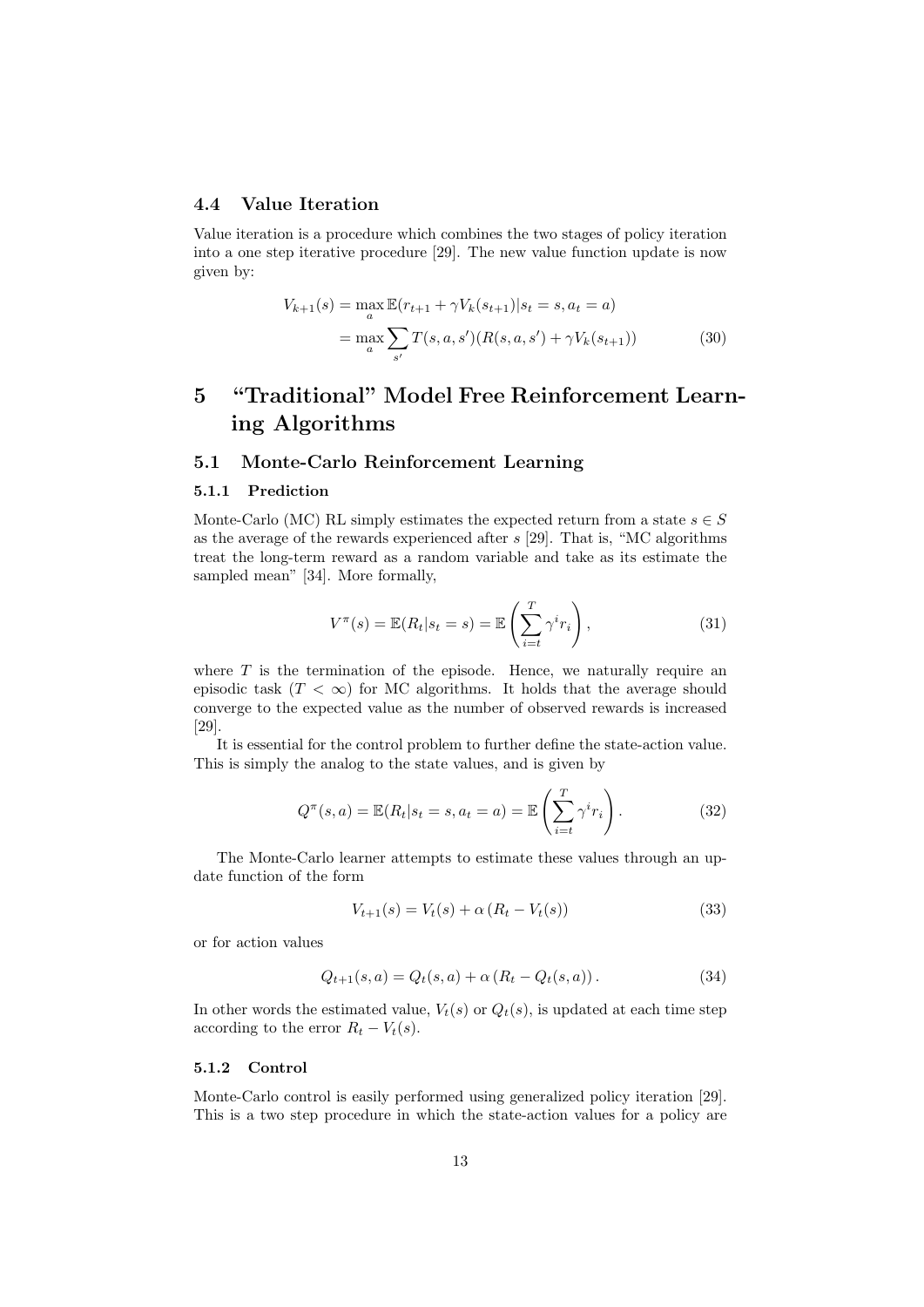#### 4.4 Value Iteration

Value iteration is a procedure which combines the two stages of policy iteration into a one step iterative procedure [29]. The new value function update is now given by:

$$
V_{k+1}(s) = \max_{a} \mathbb{E}(r_{t+1} + \gamma V_k(s_{t+1}) | s_t = s, a_t = a)
$$
  
= 
$$
\max_{a} \sum_{s'} T(s, a, s') (R(s, a, s') + \gamma V_k(s_{t+1}))
$$
(30)

## 5 "Traditional" Model Free Reinforcement Learning Algorithms

#### 5.1 Monte-Carlo Reinforcement Learning

#### 5.1.1 Prediction

Monte-Carlo (MC) RL simply estimates the expected return from a state  $s \in S$ as the average of the rewards experienced after s [29]. That is, "MC algorithms treat the long-term reward as a random variable and take as its estimate the sampled mean" [34]. More formally,

$$
V^{\pi}(s) = \mathbb{E}(R_t|s_t = s) = \mathbb{E}\left(\sum_{i=t}^{T} \gamma^i r_i\right),\tag{31}
$$

where  $T$  is the termination of the episode. Hence, we naturally require an episodic task  $(T < \infty)$  for MC algorithms. It holds that the average should converge to the expected value as the number of observed rewards is increased [29].

It is essential for the control problem to further define the state-action value. This is simply the analog to the state values, and is given by

$$
Q^{\pi}(s, a) = \mathbb{E}(R_t | s_t = s, a_t = a) = \mathbb{E}\left(\sum_{i=t}^{T} \gamma^i r_i\right).
$$
 (32)

The Monte-Carlo learner attempts to estimate these values through an update function of the form

$$
V_{t+1}(s) = V_t(s) + \alpha (R_t - V_t(s))
$$
\n(33)

or for action values

$$
Q_{t+1}(s, a) = Q_t(s, a) + \alpha (R_t - Q_t(s, a)).
$$
\n(34)

In other words the estimated value,  $V_t(s)$  or  $Q_t(s)$ , is updated at each time step according to the error  $R_t - V_t(s)$ .

#### 5.1.2 Control

Monte-Carlo control is easily performed using generalized policy iteration [29]. This is a two step procedure in which the state-action values for a policy are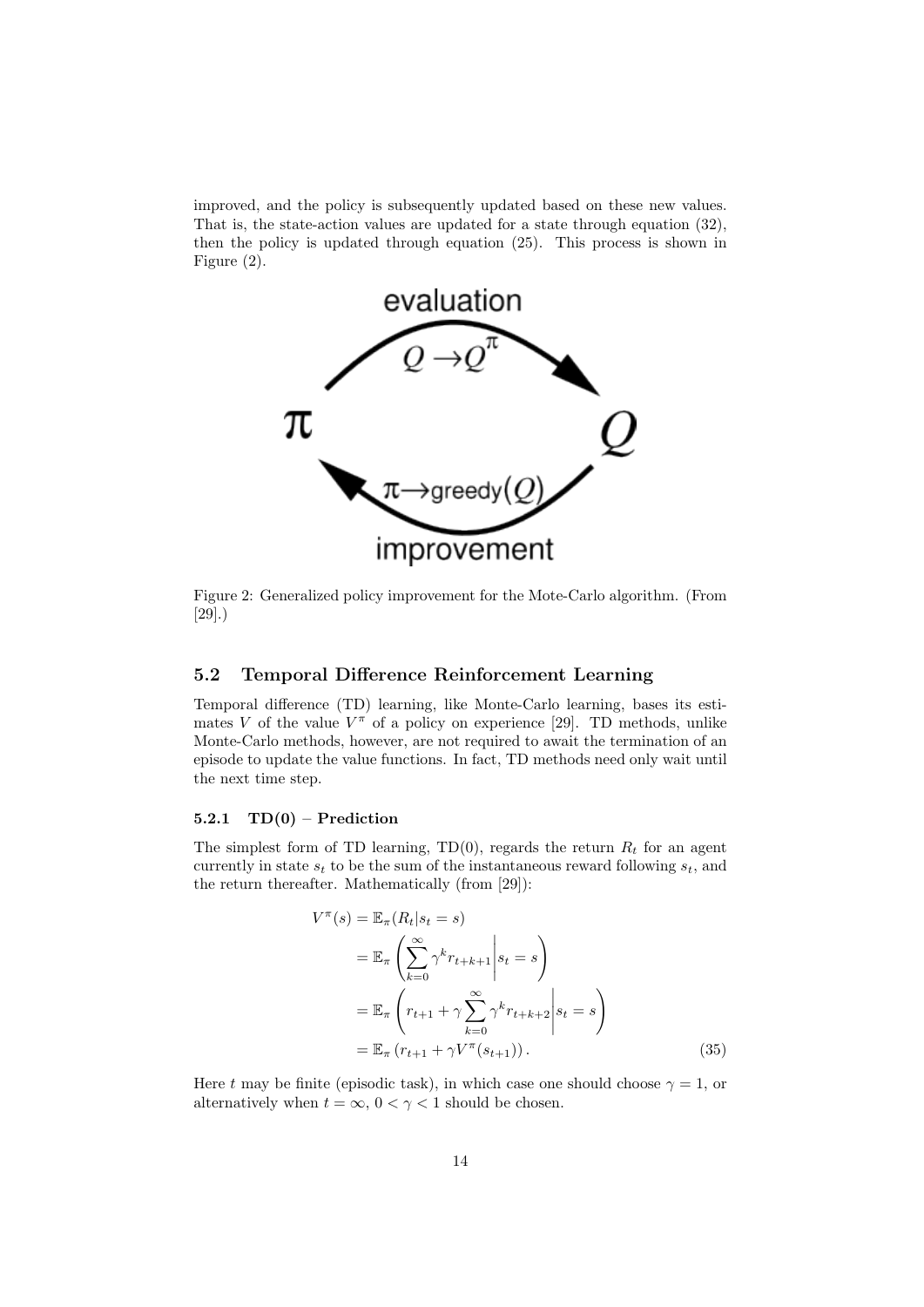improved, and the policy is subsequently updated based on these new values. That is, the state-action values are updated for a state through equation (32), then the policy is updated through equation (25). This process is shown in Figure (2).



Figure 2: Generalized policy improvement for the Mote-Carlo algorithm. (From [29].)

#### 5.2 Temporal Difference Reinforcement Learning

Temporal difference (TD) learning, like Monte-Carlo learning, bases its estimates V of the value  $V^{\pi}$  of a policy on experience [29]. TD methods, unlike Monte-Carlo methods, however, are not required to await the termination of an episode to update the value functions. In fact, TD methods need only wait until the next time step.

#### 5.2.1  $TD(0)$  – Prediction

The simplest form of TD learning, TD(0), regards the return  $R_t$  for an agent currently in state  $s_t$  to be the sum of the instantaneous reward following  $s_t$ , and the return thereafter. Mathematically (from [29]):

$$
V^{\pi}(s) = \mathbb{E}_{\pi}(R_t|s_t = s)
$$
  
\n
$$
= \mathbb{E}_{\pi}\left(\sum_{k=0}^{\infty} \gamma^k r_{t+k+1} | s_t = s\right)
$$
  
\n
$$
= \mathbb{E}_{\pi}\left(r_{t+1} + \gamma \sum_{k=0}^{\infty} \gamma^k r_{t+k+2} | s_t = s\right)
$$
  
\n
$$
= \mathbb{E}_{\pi}(r_{t+1} + \gamma V^{\pi}(s_{t+1})). \tag{35}
$$

Here t may be finite (episodic task), in which case one should choose  $\gamma = 1$ , or alternatively when  $t = \infty$ ,  $0 < \gamma < 1$  should be chosen.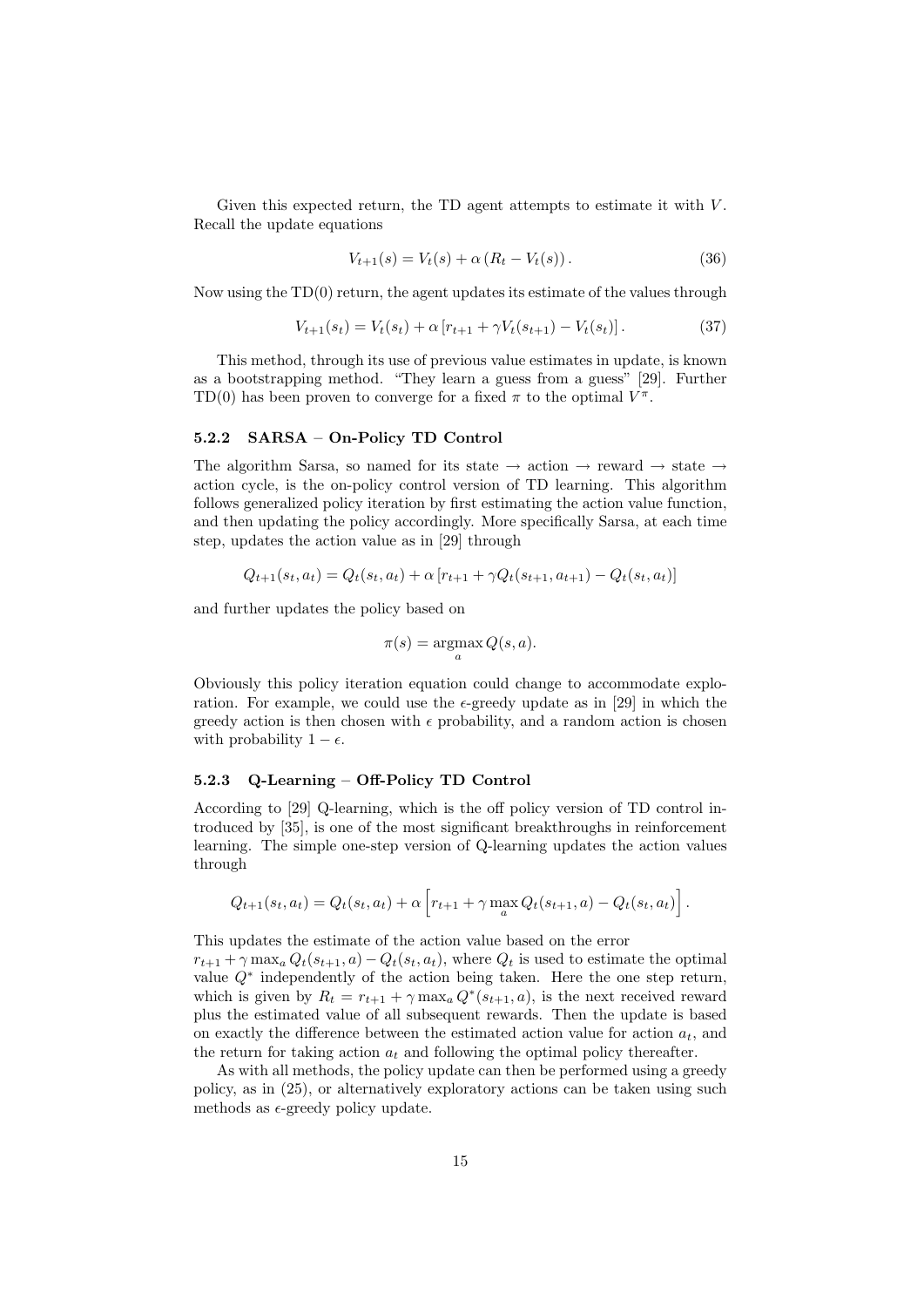Given this expected return, the TD agent attempts to estimate it with  $V$ . Recall the update equations

$$
V_{t+1}(s) = V_t(s) + \alpha (R_t - V_t(s)).
$$
\n(36)

Now using the TD(0) return, the agent updates its estimate of the values through

$$
V_{t+1}(s_t) = V_t(s_t) + \alpha \left[ r_{t+1} + \gamma V_t(s_{t+1}) - V_t(s_t) \right]. \tag{37}
$$

This method, through its use of previous value estimates in update, is known as a bootstrapping method. "They learn a guess from a guess" [29]. Further TD(0) has been proven to converge for a fixed  $\pi$  to the optimal  $V^{\pi}$ .

#### 5.2.2 SARSA – On-Policy TD Control

The algorithm Sarsa, so named for its state  $\rightarrow$  action  $\rightarrow$  reward  $\rightarrow$  state  $\rightarrow$ action cycle, is the on-policy control version of TD learning. This algorithm follows generalized policy iteration by first estimating the action value function, and then updating the policy accordingly. More specifically Sarsa, at each time step, updates the action value as in [29] through

$$
Q_{t+1}(s_t, a_t) = Q_t(s_t, a_t) + \alpha [r_{t+1} + \gamma Q_t(s_{t+1}, a_{t+1}) - Q_t(s_t, a_t)]
$$

and further updates the policy based on

$$
\pi(s) = \operatorname*{argmax}_a Q(s, a).
$$

Obviously this policy iteration equation could change to accommodate exploration. For example, we could use the  $\epsilon$ -greedy update as in [29] in which the greedy action is then chosen with  $\epsilon$  probability, and a random action is chosen with probability  $1 - \epsilon$ .

#### 5.2.3 Q-Learning – Off-Policy TD Control

According to [29] Q-learning, which is the off policy version of TD control introduced by [35], is one of the most significant breakthroughs in reinforcement learning. The simple one-step version of Q-learning updates the action values through

$$
Q_{t+1}(s_t, a_t) = Q_t(s_t, a_t) + \alpha \left[ r_{t+1} + \gamma \max_a Q_t(s_{t+1}, a) - Q_t(s_t, a_t) \right].
$$

This updates the estimate of the action value based on the error

 $r_{t+1} + \gamma \max_a Q_t(s_{t+1}, a) - Q_t(s_t, a_t)$ , where  $Q_t$  is used to estimate the optimal value  $Q^*$  independently of the action being taken. Here the one step return, which is given by  $R_t = r_{t+1} + \gamma \max_a Q^*(s_{t+1}, a)$ , is the next received reward plus the estimated value of all subsequent rewards. Then the update is based on exactly the difference between the estimated action value for action  $a_t$ , and the return for taking action  $a_t$  and following the optimal policy thereafter.

As with all methods, the policy update can then be performed using a greedy policy, as in (25), or alternatively exploratory actions can be taken using such methods as  $\epsilon$ -greedy policy update.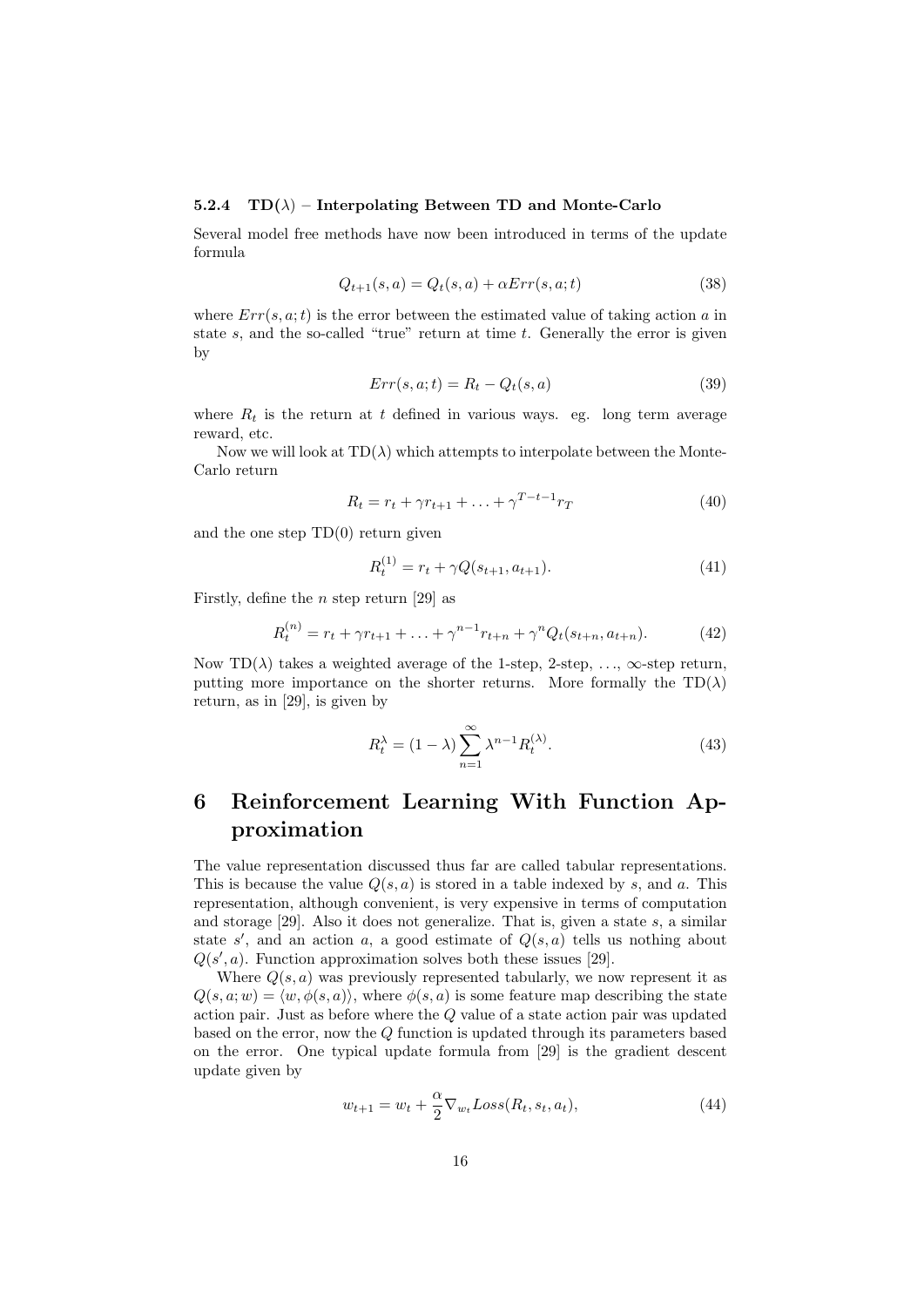#### 5.2.4  $TD(\lambda)$  – Interpolating Between TD and Monte-Carlo

Several model free methods have now been introduced in terms of the update formula

$$
Q_{t+1}(s,a) = Q_t(s,a) + \alpha Err(s,a;t)
$$
\n(38)

where  $Err(s, a; t)$  is the error between the estimated value of taking action a in state  $s$ , and the so-called "true" return at time  $t$ . Generally the error is given by

$$
Err(s, a; t) = R_t - Q_t(s, a)
$$
\n(39)

where  $R_t$  is the return at t defined in various ways. eg. long term average reward, etc.

Now we will look at  $TD(\lambda)$  which attempts to interpolate between the Monte-Carlo return

$$
R_t = r_t + \gamma r_{t+1} + \ldots + \gamma^{T-t-1} r_T \tag{40}
$$

and the one step  $TD(0)$  return given

$$
R_t^{(1)} = r_t + \gamma Q(s_{t+1}, a_{t+1}).
$$
\n(41)

Firstly, define the *n* step return [29] as

$$
R_t^{(n)} = r_t + \gamma r_{t+1} + \ldots + \gamma^{n-1} r_{t+n} + \gamma^n Q_t(s_{t+n}, a_{t+n}). \tag{42}
$$

Now TD( $\lambda$ ) takes a weighted average of the 1-step, 2-step, ...,  $\infty$ -step return, putting more importance on the shorter returns. More formally the  $TD(\lambda)$ return, as in [29], is given by

$$
R_t^{\lambda} = (1 - \lambda) \sum_{n=1}^{\infty} \lambda^{n-1} R_t^{(\lambda)}.
$$
 (43)

## 6 Reinforcement Learning With Function Approximation

The value representation discussed thus far are called tabular representations. This is because the value  $Q(s, a)$  is stored in a table indexed by s, and a. This representation, although convenient, is very expensive in terms of computation and storage  $[29]$ . Also it does not generalize. That is, given a state s, a similar state s', and an action a, a good estimate of  $Q(s, a)$  tells us nothing about  $Q(s', a)$ . Function approximation solves both these issues [29].

Where  $Q(s, a)$  was previously represented tabularly, we now represent it as  $Q(s, a; w) = \langle w, \phi(s, a) \rangle$ , where  $\phi(s, a)$  is some feature map describing the state action pair. Just as before where the Q value of a state action pair was updated based on the error, now the Q function is updated through its parameters based on the error. One typical update formula from [29] is the gradient descent update given by

$$
w_{t+1} = w_t + \frac{\alpha}{2} \nabla_{w_t} Loss(R_t, s_t, a_t), \qquad (44)
$$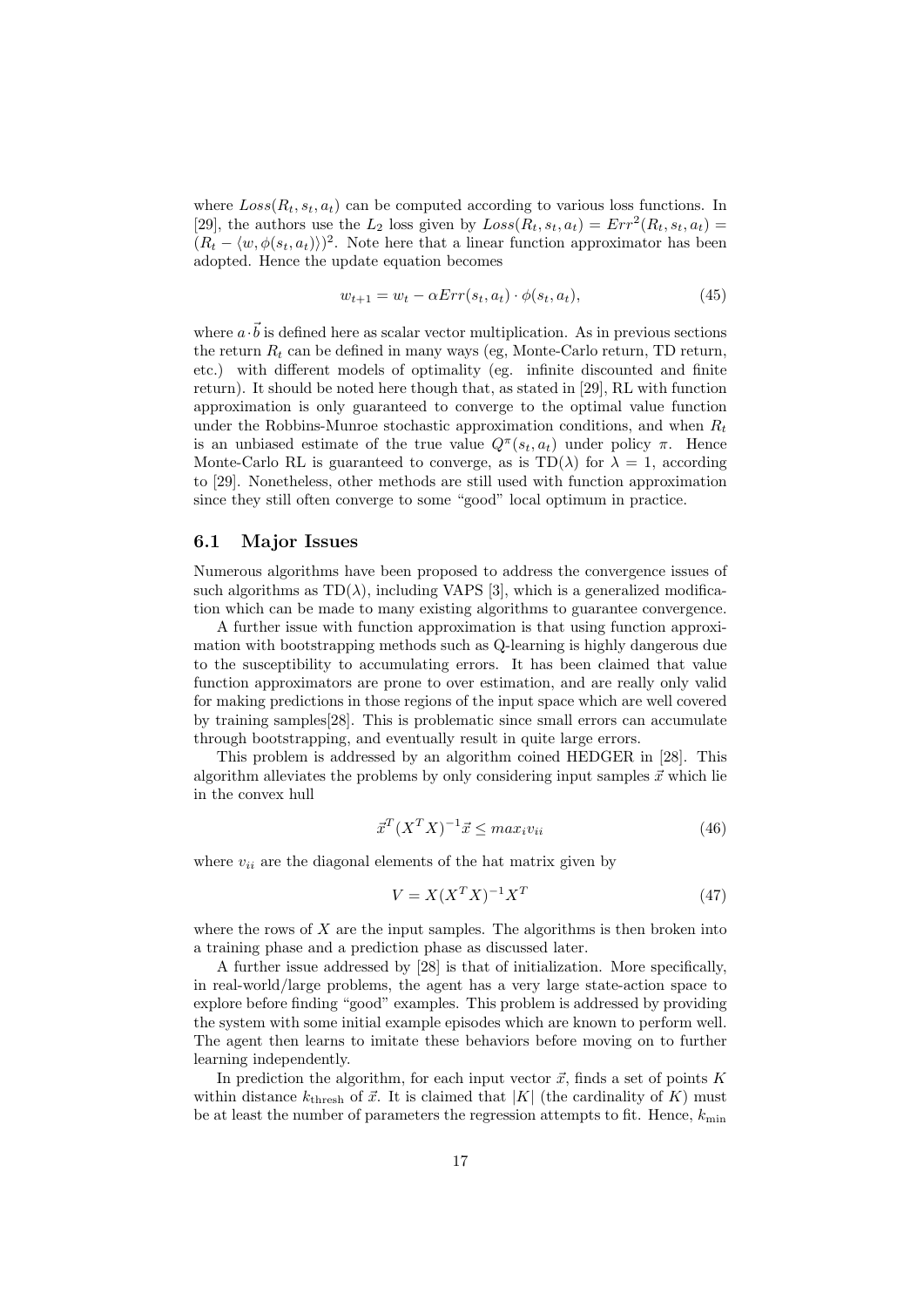where  $Loss(R_t, s_t, a_t)$  can be computed according to various loss functions. In [29], the authors use the  $L_2$  loss given by  $Loss(R_t, s_t, a_t) = Err^2(R_t, s_t, a_t)$  $(R_t - \langle w, \phi(s_t, a_t) \rangle)^2$ . Note here that a linear function approximator has been adopted. Hence the update equation becomes

$$
w_{t+1} = w_t - \alpha Err(s_t, a_t) \cdot \phi(s_t, a_t), \qquad (45)
$$

where  $a \cdot \vec{b}$  is defined here as scalar vector multiplication. As in previous sections the return  $R_t$  can be defined in many ways (eg, Monte-Carlo return, TD return, etc.) with different models of optimality (eg. infinite discounted and finite return). It should be noted here though that, as stated in [29], RL with function approximation is only guaranteed to converge to the optimal value function under the Robbins-Munroe stochastic approximation conditions, and when  $R_t$ is an unbiased estimate of the true value  $Q^{\pi}(s_t, a_t)$  under policy  $\pi$ . Hence Monte-Carlo RL is guaranteed to converge, as is  $TD(\lambda)$  for  $\lambda = 1$ , according to [29]. Nonetheless, other methods are still used with function approximation since they still often converge to some "good" local optimum in practice.

#### 6.1 Major Issues

Numerous algorithms have been proposed to address the convergence issues of such algorithms as  $TD(\lambda)$ , including VAPS [3], which is a generalized modification which can be made to many existing algorithms to guarantee convergence.

A further issue with function approximation is that using function approximation with bootstrapping methods such as Q-learning is highly dangerous due to the susceptibility to accumulating errors. It has been claimed that value function approximators are prone to over estimation, and are really only valid for making predictions in those regions of the input space which are well covered by training samples[28]. This is problematic since small errors can accumulate through bootstrapping, and eventually result in quite large errors.

This problem is addressed by an algorithm coined HEDGER in [28]. This algorithm alleviates the problems by only considering input samples  $\vec{x}$  which lie in the convex hull

$$
\vec{x}^T (X^T X)^{-1} \vec{x} \leq max_i v_{ii} \tag{46}
$$

where  $v_{ii}$  are the diagonal elements of the hat matrix given by

$$
V = X(X^T X)^{-1} X^T \tag{47}
$$

where the rows of  $X$  are the input samples. The algorithms is then broken into a training phase and a prediction phase as discussed later.

A further issue addressed by [28] is that of initialization. More specifically, in real-world/large problems, the agent has a very large state-action space to explore before finding "good" examples. This problem is addressed by providing the system with some initial example episodes which are known to perform well. The agent then learns to imitate these behaviors before moving on to further learning independently.

In prediction the algorithm, for each input vector  $\vec{x}$ , finds a set of points K within distance  $k_{\text{thresh}}$  of  $\vec{x}$ . It is claimed that |K| (the cardinality of K) must be at least the number of parameters the regression attempts to fit. Hence,  $k_{\min}$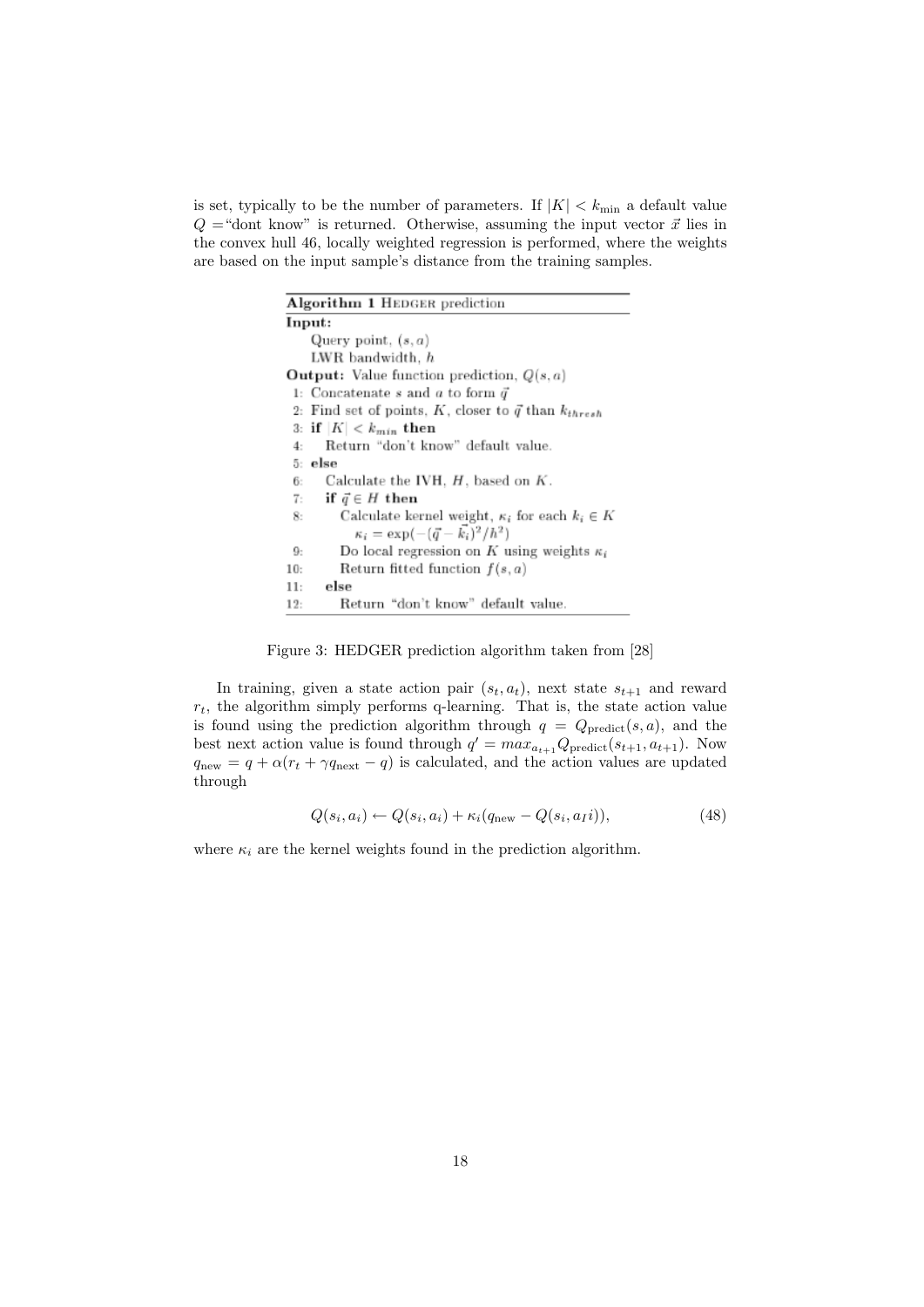is set, typically to be the number of parameters. If  $|K| < k_{\min}$  a default value  $Q =$ "dont know" is returned. Otherwise, assuming the input vector  $\vec{x}$  lies in the convex hull 46, locally weighted regression is performed, where the weights are based on the input sample's distance from the training samples.

| <b>Algorithm 1 HEDGER prediction</b>                            |  |  |  |
|-----------------------------------------------------------------|--|--|--|
| Input:                                                          |  |  |  |
| Query point, $(s, a)$                                           |  |  |  |
| LWR bandwidth, <i>h</i>                                         |  |  |  |
| <b>Output:</b> Value function prediction, $Q(s, a)$             |  |  |  |
| 1: Concatenate s and a to form $\vec{q}$                        |  |  |  |
| 2: Find set of points, K, closer to $\vec{q}$ than $k_{thresh}$ |  |  |  |
| 3: if $ K  < k_{min}$ then                                      |  |  |  |
| Return "don't know" default value.<br>4:                        |  |  |  |
| 5: else                                                         |  |  |  |
| Calculate the IVH, $H$ , based on $K$ .<br>6:                   |  |  |  |
| 7:<br>if $\vec{q} \in H$ then                                   |  |  |  |
| Calculate kernel weight, $\kappa_i$ for each $k_i \in K$<br>8:  |  |  |  |
| $\kappa_i = \exp(-(\vec{q} - \vec{k_i})^2/\hbar^2)$             |  |  |  |
| Do local regression on K using weights $\kappa_i$<br>9:         |  |  |  |
| Return fitted function $f(s, a)$<br>10:                         |  |  |  |
| else<br>11:                                                     |  |  |  |
| Return "don't know" default value.<br>12:                       |  |  |  |

Figure 3: HEDGER prediction algorithm taken from [28]

In training, given a state action pair  $(s_t, a_t)$ , next state  $s_{t+1}$  and reward  $r_t$ , the algorithm simply performs q-learning. That is, the state action value is found using the prediction algorithm through  $q = Q_{predict}(s, a)$ , and the best next action value is found through  $q' = max_{a_{t+1}} Q_{predict}(s_{t+1}, a_{t+1})$ . Now  $q_{\text{new}} = q + \alpha (r_t + \gamma q_{\text{next}} - q)$  is calculated, and the action values are updated through

$$
Q(s_i, a_i) \leftarrow Q(s_i, a_i) + \kappa_i (q_{\text{new}} - Q(s_i, a_i)), \qquad (48)
$$

where  $\kappa_i$  are the kernel weights found in the prediction algorithm.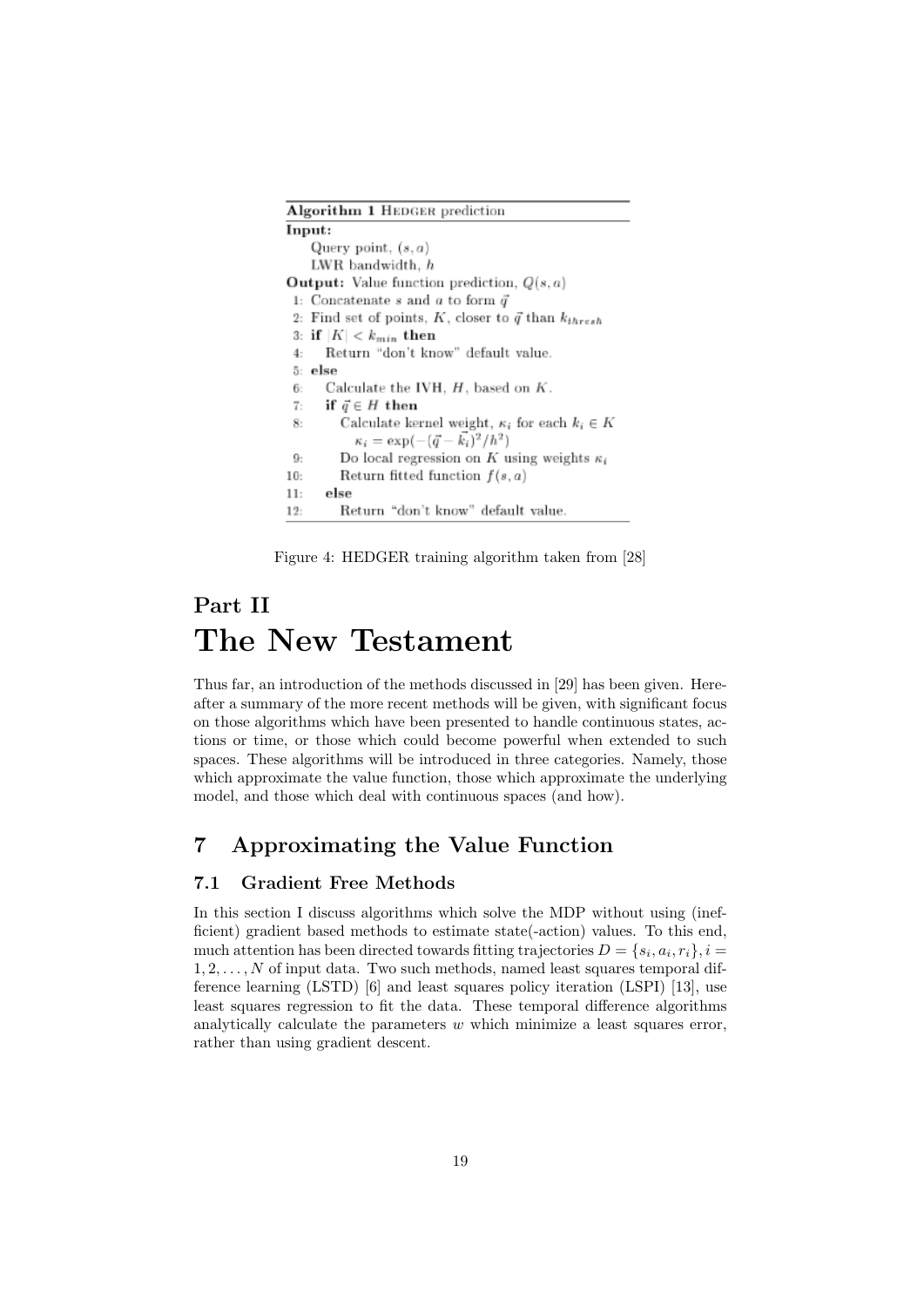| <b>Algorithm 1 HEDGER prediction</b>                            |  |  |
|-----------------------------------------------------------------|--|--|
| Input:                                                          |  |  |
| Query point, $(s, a)$                                           |  |  |
| LWR bandwidth, h                                                |  |  |
| <b>Output:</b> Value function prediction, $Q(s, a)$             |  |  |
| 1: Concatenate s and a to form $\vec{q}$                        |  |  |
| 2: Find set of points, K, closer to $\vec{q}$ than $k_{thresh}$ |  |  |
| 3: if $ K  < k_{min}$ then                                      |  |  |
| Return "don't know" default value.<br>4:                        |  |  |
| 5: else                                                         |  |  |
| Calculate the IVH, $H$ , based on $K$ .<br>6:                   |  |  |
| 7: if $\vec{q} \in H$ then                                      |  |  |
| Calculate kernel weight, $\kappa_i$ for each $k_i \in K$<br>8:  |  |  |
| $\kappa_i = \exp(-(\vec{q} - \vec{k_i})^2/h^2)$                 |  |  |
| Do local regression on K using weights $\kappa_i$<br>9:         |  |  |
| Return fitted function $f(s, a)$<br>10:                         |  |  |
| else<br>11:                                                     |  |  |
| Return "don't know" default value.<br>12:                       |  |  |

Figure 4: HEDGER training algorithm taken from [28]

# Part II The New Testament

Thus far, an introduction of the methods discussed in [29] has been given. Hereafter a summary of the more recent methods will be given, with significant focus on those algorithms which have been presented to handle continuous states, actions or time, or those which could become powerful when extended to such spaces. These algorithms will be introduced in three categories. Namely, those which approximate the value function, those which approximate the underlying model, and those which deal with continuous spaces (and how).

## 7 Approximating the Value Function

#### 7.1 Gradient Free Methods

In this section I discuss algorithms which solve the MDP without using (inefficient) gradient based methods to estimate state(-action) values. To this end, much attention has been directed towards fitting trajectories  $D = \{s_i, a_i, r_i\}, i =$  $1, 2, \ldots, N$  of input data. Two such methods, named least squares temporal difference learning (LSTD) [6] and least squares policy iteration (LSPI) [13], use least squares regression to fit the data. These temporal difference algorithms analytically calculate the parameters  $w$  which minimize a least squares error, rather than using gradient descent.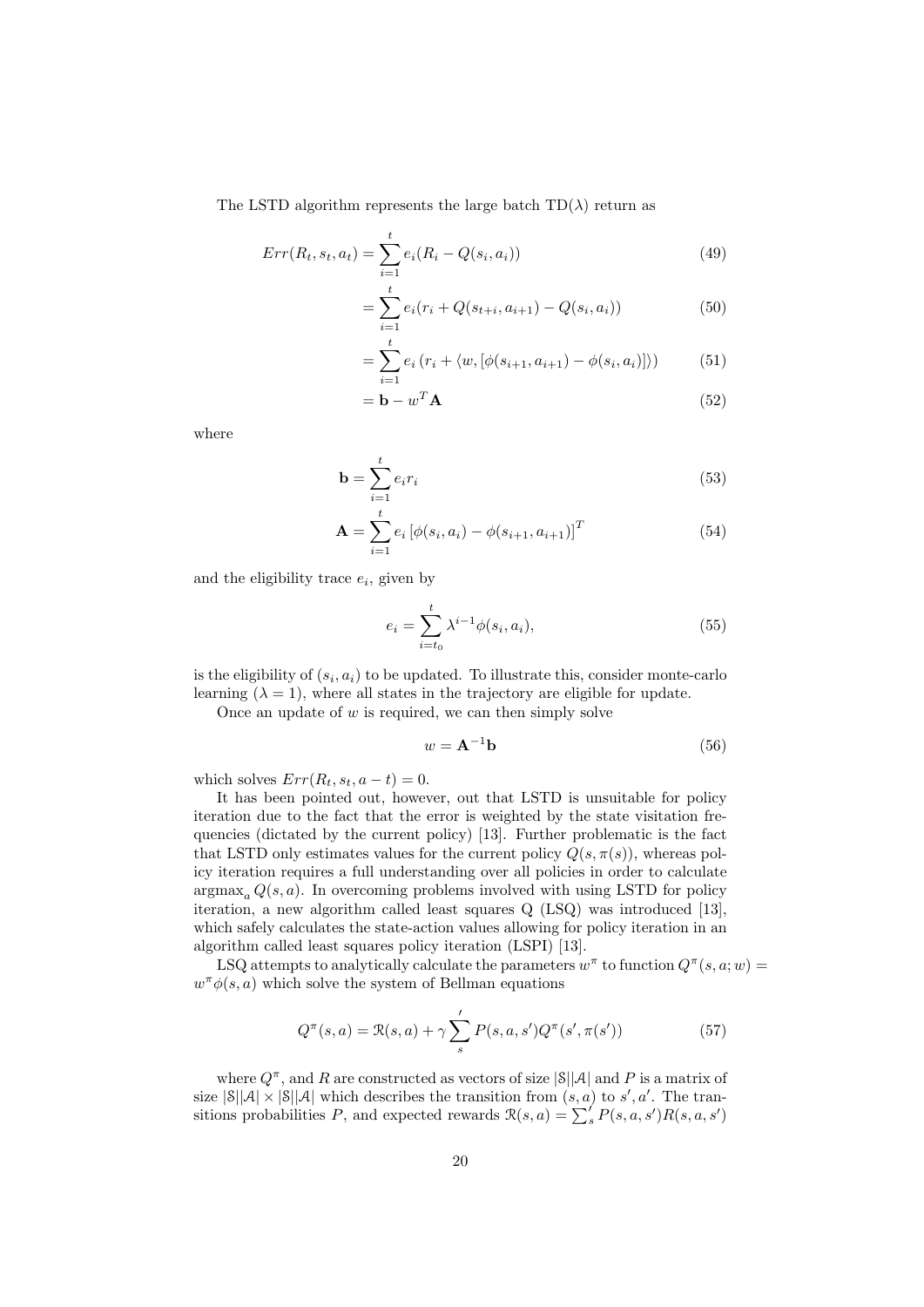The LSTD algorithm represents the large batch  $TD(\lambda)$  return as

$$
Err(R_t, s_t, a_t) = \sum_{i=1}^{t} e_i(R_i - Q(s_i, a_i))
$$
\n(49)

$$
= \sum_{i=1}^{t} e_i (r_i + Q(s_{t+i}, a_{i+1}) - Q(s_i, a_i))
$$
\n(50)

$$
= \sum_{i=1}^{t} e_i (r_i + \langle w, [\phi(s_{i+1}, a_{i+1}) - \phi(s_i, a_i)] \rangle)
$$
(51)

$$
= \mathbf{b} - w^T \mathbf{A} \tag{52}
$$

where

$$
\mathbf{b} = \sum_{i=1}^{t} e_i r_i \tag{53}
$$

$$
\mathbf{A} = \sum_{i=1}^{t} e_i \left[ \phi(s_i, a_i) - \phi(s_{i+1}, a_{i+1}) \right]^T
$$
(54)

and the eligibility trace  $e_i$ , given by

$$
e_i = \sum_{i=t_0}^{t} \lambda^{i-1} \phi(s_i, a_i), \qquad (55)
$$

is the eligibility of  $(s_i, a_i)$  to be updated. To illustrate this, consider monte-carlo learning  $(\lambda = 1)$ , where all states in the trajectory are eligible for update.

Once an update of  $w$  is required, we can then simply solve

$$
w = \mathbf{A}^{-1} \mathbf{b} \tag{56}
$$

which solves  $Err(R_t, s_t, a - t) = 0$ .

It has been pointed out, however, out that LSTD is unsuitable for policy iteration due to the fact that the error is weighted by the state visitation frequencies (dictated by the current policy) [13]. Further problematic is the fact that LSTD only estimates values for the current policy  $Q(s, \pi(s))$ , whereas policy iteration requires a full understanding over all policies in order to calculate  $argmax_a Q(s, a)$ . In overcoming problems involved with using LSTD for policy iteration, a new algorithm called least squares Q (LSQ) was introduced [13], which safely calculates the state-action values allowing for policy iteration in an algorithm called least squares policy iteration (LSPI) [13].

LSQ attempts to analytically calculate the parameters  $w^{\pi}$  to function  $Q^{\pi}(s, a; w) =$  $w^{\pi}\phi(s,a)$  which solve the system of Bellman equations

$$
Q^{\pi}(s, a) = \mathcal{R}(s, a) + \gamma \sum_{s}^{\prime} P(s, a, s') Q^{\pi}(s', \pi(s')) \tag{57}
$$

where  $Q^{\pi}$ , and R are constructed as vectors of size  $|\mathcal{S}||\mathcal{A}|$  and P is a matrix of size  $|\mathcal{S}||\mathcal{A}| \times |\mathcal{S}||\mathcal{A}|$  which describes the transition from  $(s, a)$  to  $s', a'$ . The transitions probabilities P, and expected rewards  $\mathcal{R}(s, a) = \sum_{s}^{f} P(s, a, s') R(s, a, s')$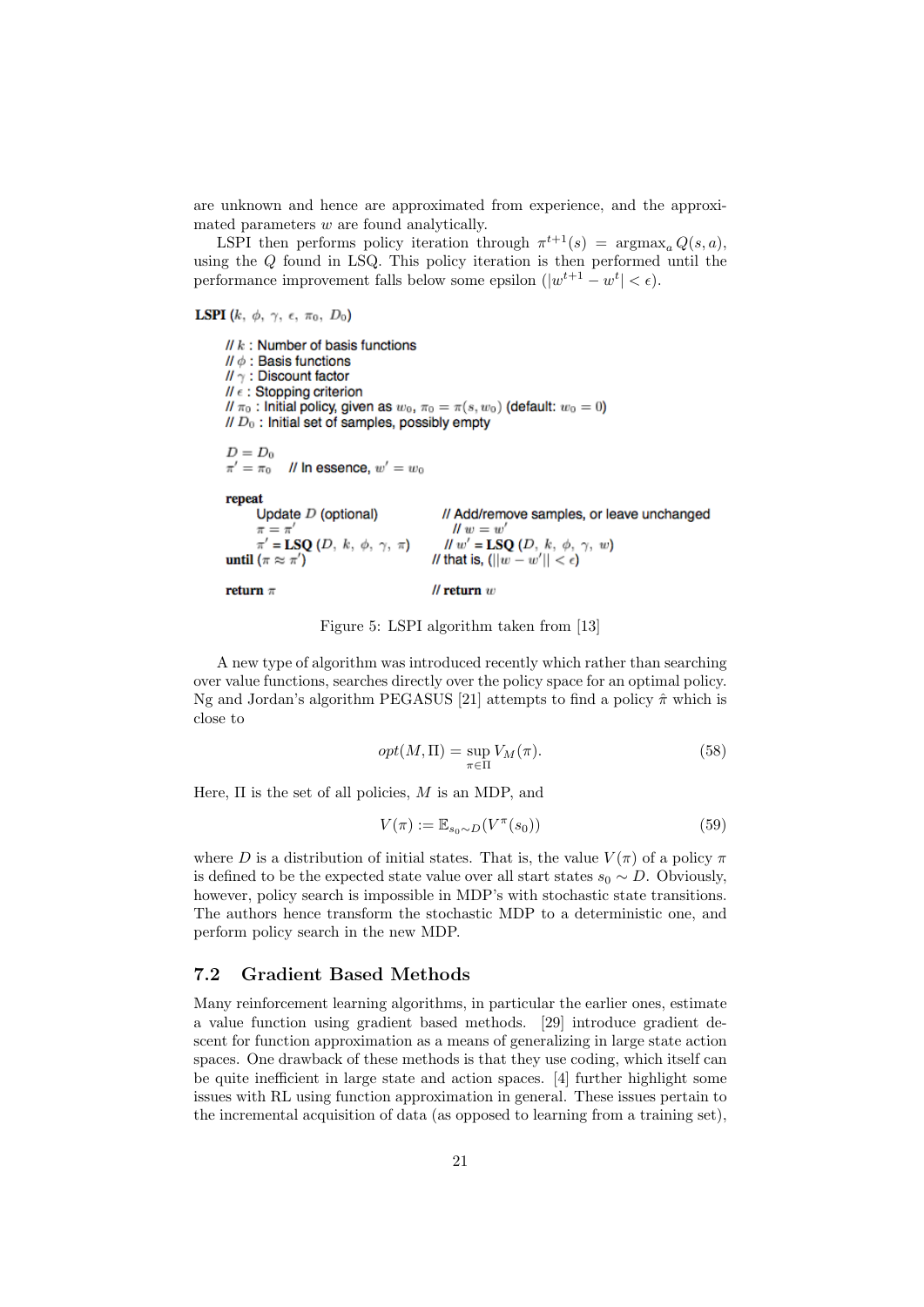are unknown and hence are approximated from experience, and the approximated parameters  $w$  are found analytically.

LSPI then performs policy iteration through  $\pi^{t+1}(s) = \argmax_a Q(s, a)$ , using the  $Q$  found in LSQ. This policy iteration is then performed until the performance improvement falls below some epsilon  $(|w^{t+1} - w^t| < \epsilon)$ .

**LSPI** (k,  $\phi$ ,  $\gamma$ ,  $\epsilon$ ,  $\pi_0$ ,  $D_0$ )

 $// k:$  Number of basis functions  $\mathcal{U} \phi$ : Basis functions  $N \gamma$ : Discount factor  $\mathcal{U} \in$ : Stopping criterion //  $\pi_0$ : Initial policy, given as  $w_0$ ,  $\pi_0 = \pi(s, w_0)$  (default:  $w_0 = 0$ )  $\mathcal{U} \mathcal{D}_0$ : Initial set of samples, possibly empty  $D=D_0$ // In essence,  $w' = w_0$  $\pi'=\pi_0$ repeat Update  $D$  (optional) // Add/remove samples, or leave unchanged  $\pi = \pi'$  $\mathcal{U} w = w'$  $\pi = \pi$ <br> $\pi' = \text{LSQ}(D, k, \phi, \gamma, \pi)$  $H w' = LSQ(D, k, \phi, \gamma, w)$ until  $(\pi \approx \pi')$ // that is,  $(||w - w'|| < \epsilon)$  $\mathcal U$  return  $w$ return  $\pi$ 

Figure 5: LSPI algorithm taken from [13]

A new type of algorithm was introduced recently which rather than searching over value functions, searches directly over the policy space for an optimal policy. Ng and Jordan's algorithm PEGASUS [21] attempts to find a policy  $\hat{\pi}$  which is close to

$$
opt(M, \Pi) = \sup_{\pi \in \Pi} V_M(\pi). \tag{58}
$$

Here,  $\Pi$  is the set of all policies, M is an MDP, and

$$
V(\pi) := \mathbb{E}_{s_0 \sim D}(V^{\pi}(s_0))
$$
\n<sup>(59)</sup>

where D is a distribution of initial states. That is, the value  $V(\pi)$  of a policy  $\pi$ is defined to be the expected state value over all start states  $s_0 \sim D$ . Obviously, however, policy search is impossible in MDP's with stochastic state transitions. The authors hence transform the stochastic MDP to a deterministic one, and perform policy search in the new MDP.

#### 7.2 Gradient Based Methods

Many reinforcement learning algorithms, in particular the earlier ones, estimate a value function using gradient based methods. [29] introduce gradient descent for function approximation as a means of generalizing in large state action spaces. One drawback of these methods is that they use coding, which itself can be quite inefficient in large state and action spaces. [4] further highlight some issues with RL using function approximation in general. These issues pertain to the incremental acquisition of data (as opposed to learning from a training set),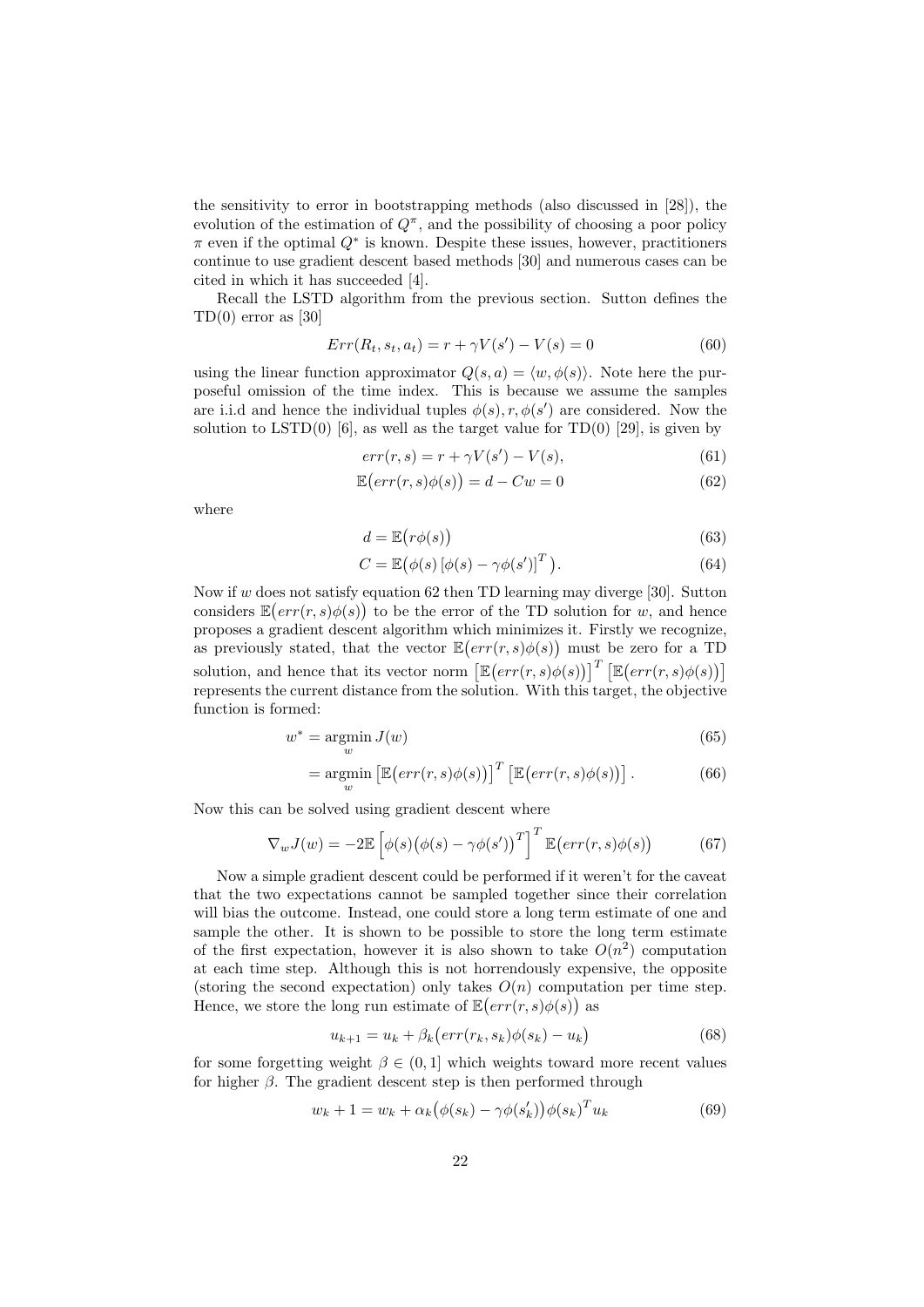the sensitivity to error in bootstrapping methods (also discussed in [28]), the evolution of the estimation of  $Q^{\pi}$ , and the possibility of choosing a poor policy  $\pi$  even if the optimal  $Q^*$  is known. Despite these issues, however, practitioners continue to use gradient descent based methods [30] and numerous cases can be cited in which it has succeeded [4].

Recall the LSTD algorithm from the previous section. Sutton defines the  $TD(0)$  error as [30]

$$
Err(R_t, s_t, a_t) = r + \gamma V(s') - V(s) = 0
$$
\n(60)

using the linear function approximator  $Q(s, a) = \langle w, \phi(s) \rangle$ . Note here the purposeful omission of the time index. This is because we assume the samples are i.i.d and hence the individual tuples  $\phi(s)$ ,  $r$ ,  $\phi(s')$  are considered. Now the solution to  $LSTD(0)$  [6], as well as the target value for  $TD(0)$  [29], is given by

$$
err(r, s) = r + \gamma V(s') - V(s),\tag{61}
$$

$$
\mathbb{E}\left(err(r,s)\phi(s)\right) = d - Cw = 0\tag{62}
$$

where

$$
d = \mathbb{E}\big(r\phi(s)\big) \tag{63}
$$

$$
C = \mathbb{E}(\phi(s) [\phi(s) - \gamma \phi(s')]^{T}).
$$
\n(64)

Now if w does not satisfy equation 62 then TD learning may diverge [30]. Sutton considers  $\mathbb{E}(err(r, s)\phi(s))$  to be the error of the TD solution for w, and hence proposes a gradient descent algorithm which minimizes it. Firstly we recognize, as previously stated, that the vector  $\mathbb{E}(err(r, s)\phi(s))$  must be zero for a TD solution, and hence that its vector norm  $\left[\mathbb{E}(err(r,s)\phi(s))\right]^T \left[\mathbb{E}(err(r,s)\phi(s))\right]$ represents the current distance from the solution. With this target, the objective function is formed:

$$
w^* = \underset{w}{\text{argmin}} \, J(w) \tag{65}
$$

$$
= \underset{w}{\text{argmin}} \left[ \mathbb{E} \big( err(r, s) \phi(s) \big) \right]^T \left[ \mathbb{E} \big( err(r, s) \phi(s) \big) \right]. \tag{66}
$$

Now this can be solved using gradient descent where

$$
\nabla_w J(w) = -2\mathbb{E}\left[\phi(s)\big(\phi(s) - \gamma\phi(s')\big)^T\right]^T \mathbb{E}\big(\text{err}(r,s)\phi(s)\big) \tag{67}
$$

Now a simple gradient descent could be performed if it weren't for the caveat that the two expectations cannot be sampled together since their correlation will bias the outcome. Instead, one could store a long term estimate of one and sample the other. It is shown to be possible to store the long term estimate of the first expectation, however it is also shown to take  $O(n^2)$  computation at each time step. Although this is not horrendously expensive, the opposite (storing the second expectation) only takes  $O(n)$  computation per time step. Hence, we store the long run estimate of  $\mathbb{E}(err(r, s)\phi(s))$  as

$$
u_{k+1} = u_k + \beta_k \left( \operatorname{err}(r_k, s_k) \phi(s_k) - u_k \right) \tag{68}
$$

for some forgetting weight  $\beta \in (0, 1]$  which weights toward more recent values for higher  $\beta$ . The gradient descent step is then performed through

$$
w_k + 1 = w_k + \alpha_k \big(\phi(s_k) - \gamma \phi(s'_k)\big) \phi(s_k)^T u_k \tag{69}
$$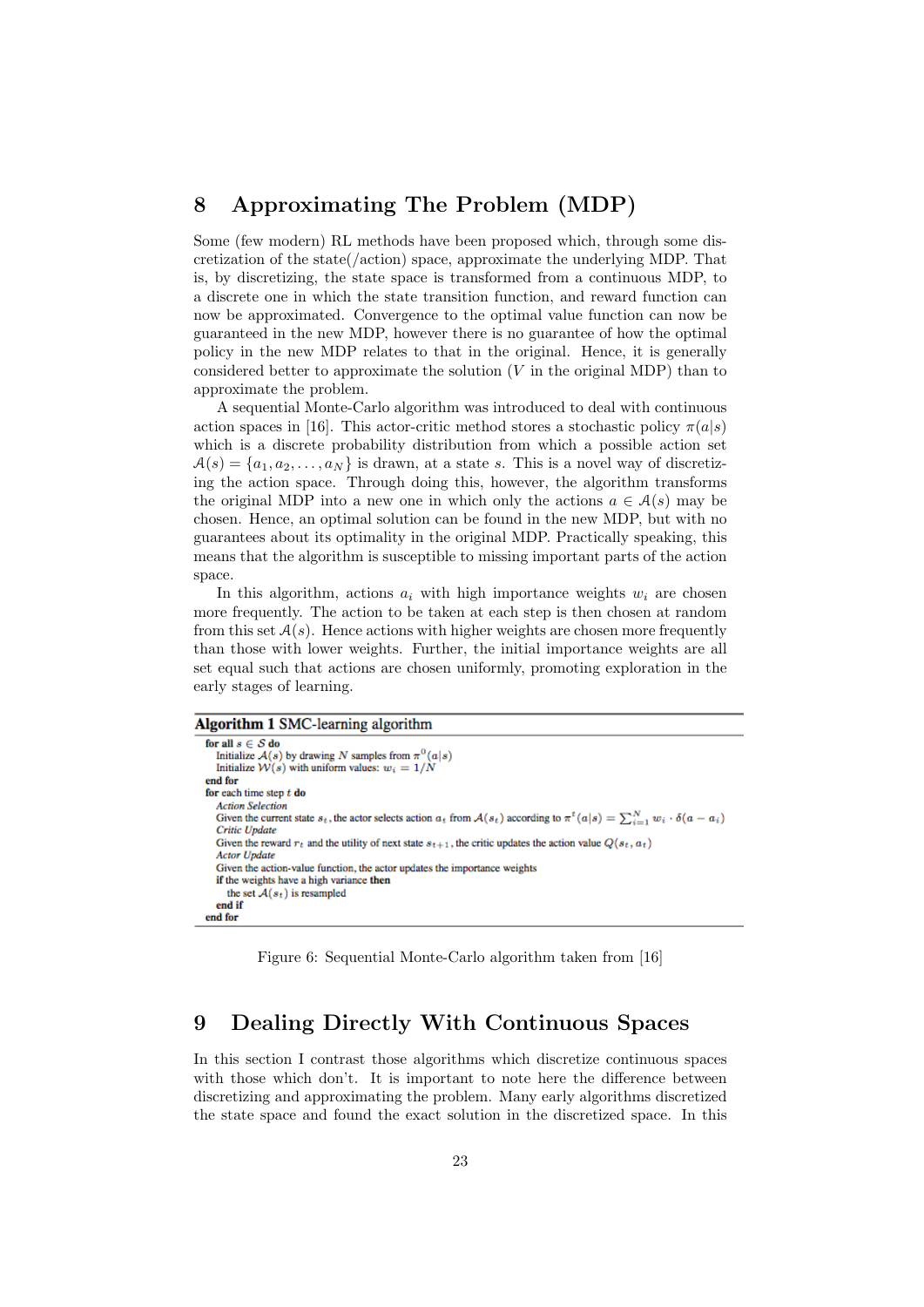## 8 Approximating The Problem (MDP)

Some (few modern) RL methods have been proposed which, through some discretization of the state $(zat)$  space, approximate the underlying MDP. That is, by discretizing, the state space is transformed from a continuous MDP, to a discrete one in which the state transition function, and reward function can now be approximated. Convergence to the optimal value function can now be guaranteed in the new MDP, however there is no guarantee of how the optimal policy in the new MDP relates to that in the original. Hence, it is generally considered better to approximate the solution  $(V$  in the original MDP) than to approximate the problem.

A sequential Monte-Carlo algorithm was introduced to deal with continuous action spaces in [16]. This actor-critic method stores a stochastic policy  $\pi(a|s)$ which is a discrete probability distribution from which a possible action set  $A(s) = \{a_1, a_2, \ldots, a_N\}$  is drawn, at a state s. This is a novel way of discretizing the action space. Through doing this, however, the algorithm transforms the original MDP into a new one in which only the actions  $a \in \mathcal{A}(s)$  may be chosen. Hence, an optimal solution can be found in the new MDP, but with no guarantees about its optimality in the original MDP. Practically speaking, this means that the algorithm is susceptible to missing important parts of the action space.

In this algorithm, actions  $a_i$  with high importance weights  $w_i$  are chosen more frequently. The action to be taken at each step is then chosen at random from this set  $A(s)$ . Hence actions with higher weights are chosen more frequently than those with lower weights. Further, the initial importance weights are all set equal such that actions are chosen uniformly, promoting exploration in the early stages of learning.

#### Algorithm 1 SMC-learning algorithm

```
for all s \in S do
  Initialize A(s) by drawing N samples from \pi^{0}(a|s)<br>Initialize W(s) with uniform values: w_i = 1/Nend for
for each time step t do
  Action Selection
  Given the current state s_t, the actor selects action a_t from \mathcal{A}(s_t) according to \pi^t(a|s) = \sum_{i=1}^N w_i \cdot \delta(a-a_i)Critic Update
  Given the reward r_t and the utility of next state s_{t+1}, the critic updates the action value Q(s_t, a_t)Actor Update
  Given the action-value function, the actor updates the importance weights
   if the weights have a high variance then
     the set A(s_t) is resampled
  end if
end for
```
Figure 6: Sequential Monte-Carlo algorithm taken from [16]

## 9 Dealing Directly With Continuous Spaces

In this section I contrast those algorithms which discretize continuous spaces with those which don't. It is important to note here the difference between discretizing and approximating the problem. Many early algorithms discretized the state space and found the exact solution in the discretized space. In this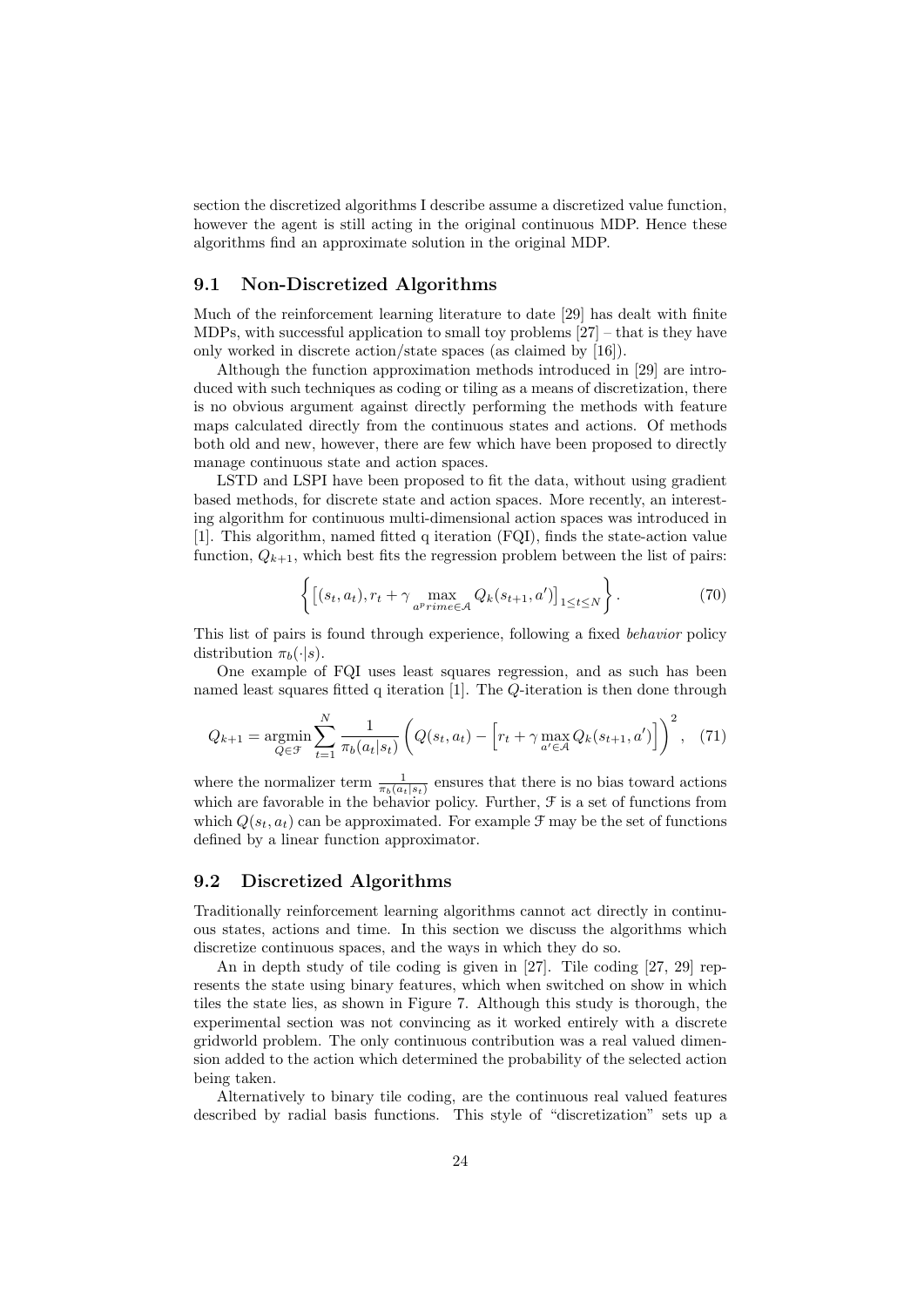section the discretized algorithms I describe assume a discretized value function, however the agent is still acting in the original continuous MDP. Hence these algorithms find an approximate solution in the original MDP.

#### 9.1 Non-Discretized Algorithms

Much of the reinforcement learning literature to date [29] has dealt with finite MDPs, with successful application to small toy problems [27] – that is they have only worked in discrete action/state spaces (as claimed by [16]).

Although the function approximation methods introduced in [29] are introduced with such techniques as coding or tiling as a means of discretization, there is no obvious argument against directly performing the methods with feature maps calculated directly from the continuous states and actions. Of methods both old and new, however, there are few which have been proposed to directly manage continuous state and action spaces.

LSTD and LSPI have been proposed to fit the data, without using gradient based methods, for discrete state and action spaces. More recently, an interesting algorithm for continuous multi-dimensional action spaces was introduced in [1]. This algorithm, named fitted q iteration (FQI), finds the state-action value function,  $Q_{k+1}$ , which best fits the regression problem between the list of pairs:

$$
\left\{ \left[ (s_t, a_t), r_t + \gamma \max_{a^p \text{rime} \in \mathcal{A}} Q_k(s_{t+1}, a') \right]_{1 \le t \le N} \right\}.
$$
 (70)

This list of pairs is found through experience, following a fixed behavior policy distribution  $\pi_b(\cdot|s)$ .

One example of FQI uses least squares regression, and as such has been named least squares fitted q iteration [1]. The Q-iteration is then done through

$$
Q_{k+1} = \underset{Q \in \mathcal{F}}{\text{argmin}} \sum_{t=1}^{N} \frac{1}{\pi_b(a_t|s_t)} \left( Q(s_t, a_t) - \left[ r_t + \gamma \max_{a' \in \mathcal{A}} Q_k(s_{t+1}, a') \right] \right)^2, \tag{71}
$$

where the normalizer term  $\frac{1}{\pi_b(a_t|s_t)}$  ensures that there is no bias toward actions which are favorable in the behavior policy. Further,  $\mathcal F$  is a set of functions from which  $Q(s_t, a_t)$  can be approximated. For example  $\mathcal{F}$  may be the set of functions defined by a linear function approximator.

#### 9.2 Discretized Algorithms

Traditionally reinforcement learning algorithms cannot act directly in continuous states, actions and time. In this section we discuss the algorithms which discretize continuous spaces, and the ways in which they do so.

An in depth study of tile coding is given in [27]. Tile coding [27, 29] represents the state using binary features, which when switched on show in which tiles the state lies, as shown in Figure 7. Although this study is thorough, the experimental section was not convincing as it worked entirely with a discrete gridworld problem. The only continuous contribution was a real valued dimension added to the action which determined the probability of the selected action being taken.

Alternatively to binary tile coding, are the continuous real valued features described by radial basis functions. This style of "discretization" sets up a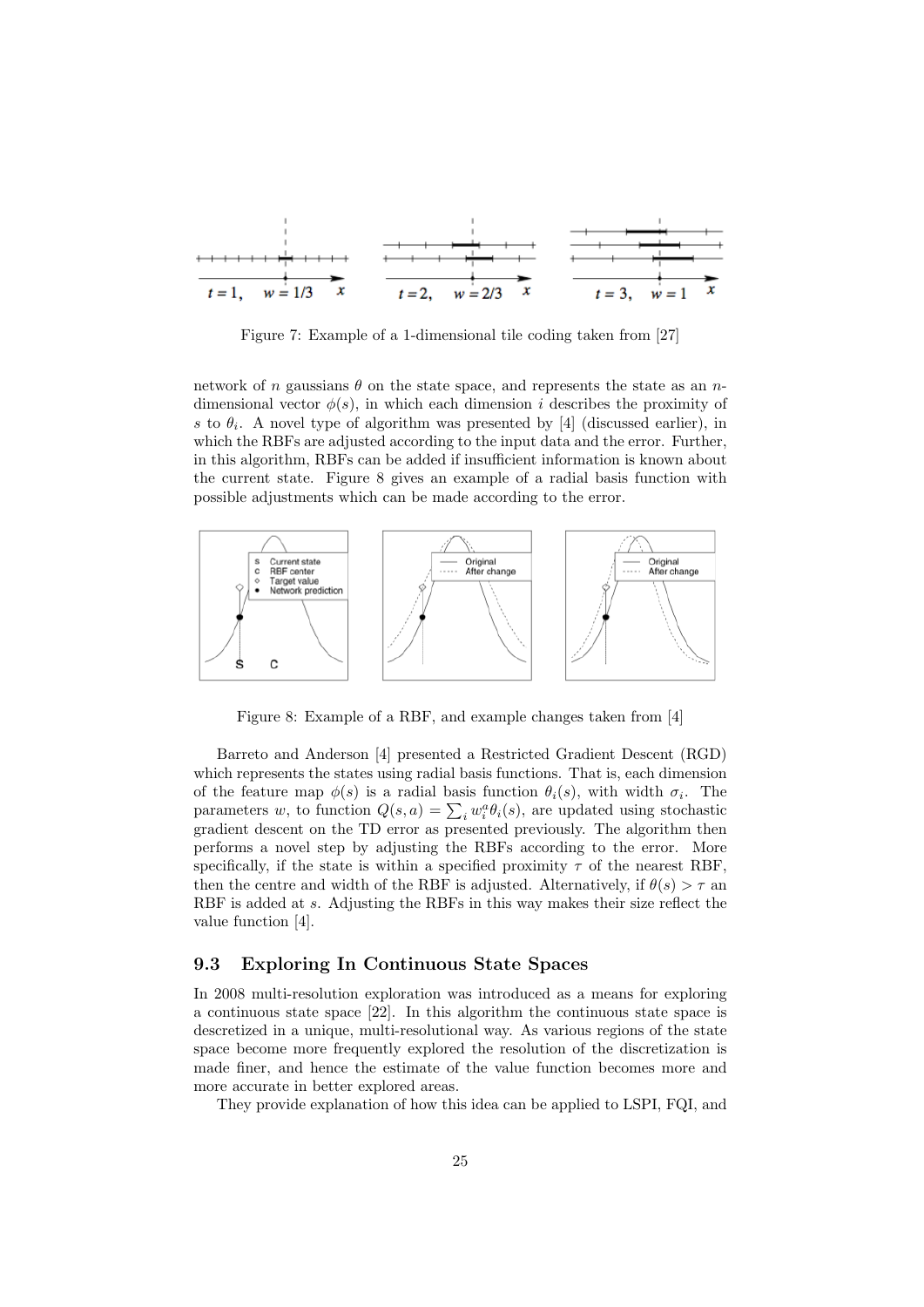

Figure 7: Example of a 1-dimensional tile coding taken from [27]

network of n gaussians  $\theta$  on the state space, and represents the state as an ndimensional vector  $\phi(s)$ , in which each dimension i describes the proximity of s to  $\theta_i$ . A novel type of algorithm was presented by [4] (discussed earlier), in which the RBFs are adjusted according to the input data and the error. Further, in this algorithm, RBFs can be added if insufficient information is known about the current state. Figure 8 gives an example of a radial basis function with possible adjustments which can be made according to the error.



Figure 8: Example of a RBF, and example changes taken from [4]

Barreto and Anderson [4] presented a Restricted Gradient Descent (RGD) which represents the states using radial basis functions. That is, each dimension of the feature map  $\phi(s)$  is a radial basis function  $\theta_i(s)$ , with width  $\sigma_i$ . The parameters w, to function  $Q(s, a) = \sum_i w_i^a \theta_i(s)$ , are updated using stochastic gradient descent on the TD error as presented previously. The algorithm then performs a novel step by adjusting the RBFs according to the error. More specifically, if the state is within a specified proximity  $\tau$  of the nearest RBF, then the centre and width of the RBF is adjusted. Alternatively, if  $\theta(s) > \tau$  and RBF is added at s. Adjusting the RBFs in this way makes their size reflect the value function [4].

### 9.3 Exploring In Continuous State Spaces

In 2008 multi-resolution exploration was introduced as a means for exploring a continuous state space [22]. In this algorithm the continuous state space is descretized in a unique, multi-resolutional way. As various regions of the state space become more frequently explored the resolution of the discretization is made finer, and hence the estimate of the value function becomes more and more accurate in better explored areas.

They provide explanation of how this idea can be applied to LSPI, FQI, and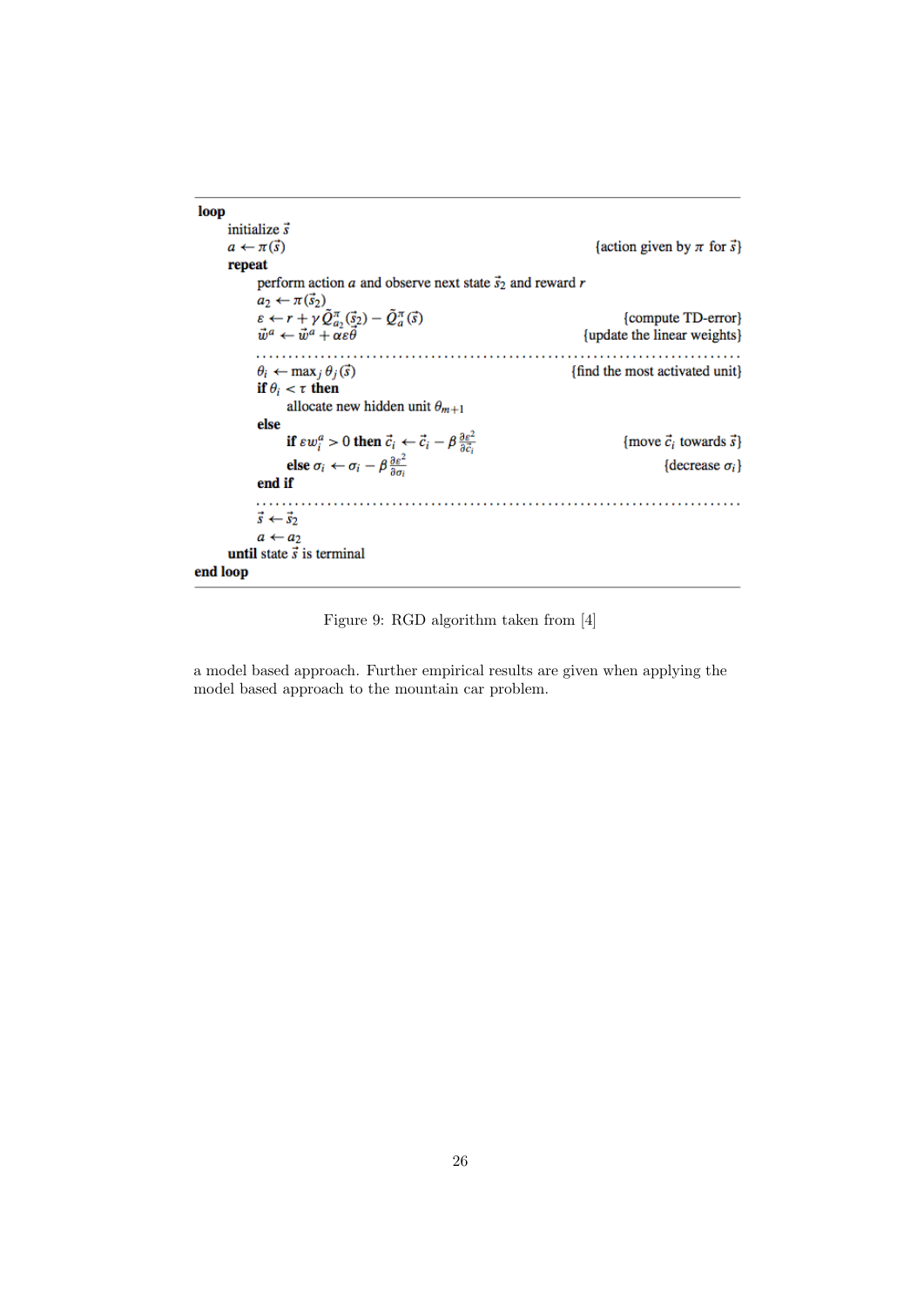| loop                                                                                                                       |                                        |  |  |  |
|----------------------------------------------------------------------------------------------------------------------------|----------------------------------------|--|--|--|
| initialize $\vec{s}$                                                                                                       |                                        |  |  |  |
| $a \leftarrow \pi(\vec{s})$                                                                                                | {action given by $\pi$ for $\vec{s}$ } |  |  |  |
| repeat                                                                                                                     |                                        |  |  |  |
| perform action $a$ and observe next state $\vec{s}_2$ and reward r                                                         |                                        |  |  |  |
| $a_2 \leftarrow \pi(\vec{s}_2)$                                                                                            |                                        |  |  |  |
| $\varepsilon \leftarrow r + \gamma \tilde{Q}_{a_2}^{\pi}(\vec{\S}_2) - \tilde{Q}_{a}^{\pi}(\vec{\S})$                      | {compute TD-error}                     |  |  |  |
| $\vec{w}^a \leftarrow \vec{w}^a + \alpha \varepsilon \theta$                                                               | {update the linear weights}            |  |  |  |
|                                                                                                                            |                                        |  |  |  |
| $\theta_i \leftarrow \max_j \theta_j(\vec{s})$                                                                             | {find the most activated unit}         |  |  |  |
| if $\theta_i < \tau$ then                                                                                                  |                                        |  |  |  |
| allocate new hidden unit $\theta_{m+1}$                                                                                    |                                        |  |  |  |
| else                                                                                                                       |                                        |  |  |  |
| if $\varepsilon w_i^a > 0$ then $\vec{c}_i \leftarrow \vec{c}_i - \beta \frac{\partial \varepsilon^2}{\partial \vec{c}_i}$ | {move $\vec{c}_i$ towards $\vec{s}$ }  |  |  |  |
| else $\sigma_i \leftarrow \sigma_i - \beta \frac{\partial \varepsilon^2}{\partial \sigma_i}$                               | {decrease $\sigma_i$ }                 |  |  |  |
| end if                                                                                                                     |                                        |  |  |  |
|                                                                                                                            |                                        |  |  |  |
| $\vec{s} \leftarrow \vec{s}$                                                                                               |                                        |  |  |  |
| $a \leftarrow a_2$                                                                                                         |                                        |  |  |  |
| until state $\vec{s}$ is terminal                                                                                          |                                        |  |  |  |
| end loop                                                                                                                   |                                        |  |  |  |

Figure 9: RGD algorithm taken from [4]

a model based approach. Further empirical results are given when applying the model based approach to the mountain car problem.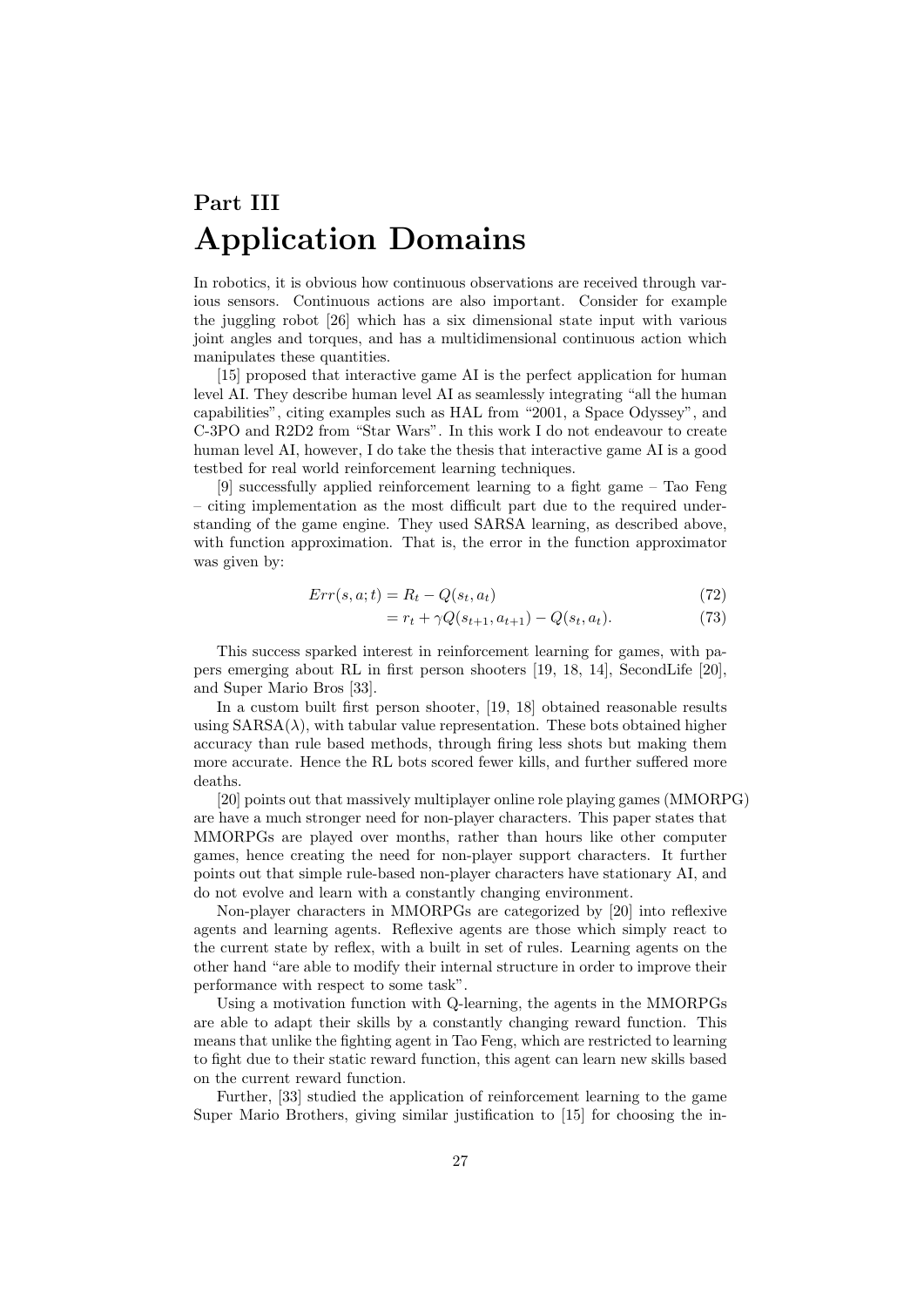# Part III Application Domains

In robotics, it is obvious how continuous observations are received through various sensors. Continuous actions are also important. Consider for example the juggling robot [26] which has a six dimensional state input with various joint angles and torques, and has a multidimensional continuous action which manipulates these quantities.

[15] proposed that interactive game AI is the perfect application for human level AI. They describe human level AI as seamlessly integrating "all the human capabilities", citing examples such as HAL from "2001, a Space Odyssey", and C-3PO and R2D2 from "Star Wars". In this work I do not endeavour to create human level AI, however, I do take the thesis that interactive game AI is a good testbed for real world reinforcement learning techniques.

[9] successfully applied reinforcement learning to a fight game – Tao Feng – citing implementation as the most difficult part due to the required understanding of the game engine. They used SARSA learning, as described above, with function approximation. That is, the error in the function approximator was given by:

$$
Err(s, a; t) = R_t - Q(s_t, a_t)
$$
\n
$$
(72)
$$

$$
= r_t + \gamma Q(s_{t+1}, a_{t+1}) - Q(s_t, a_t). \tag{73}
$$

This success sparked interest in reinforcement learning for games, with papers emerging about RL in first person shooters [19, 18, 14], SecondLife [20], and Super Mario Bros [33].

In a custom built first person shooter, [19, 18] obtained reasonable results using  $SARSA(\lambda)$ , with tabular value representation. These bots obtained higher accuracy than rule based methods, through firing less shots but making them more accurate. Hence the RL bots scored fewer kills, and further suffered more deaths.

[20] points out that massively multiplayer online role playing games (MMORPG) are have a much stronger need for non-player characters. This paper states that MMORPGs are played over months, rather than hours like other computer games, hence creating the need for non-player support characters. It further points out that simple rule-based non-player characters have stationary AI, and do not evolve and learn with a constantly changing environment.

Non-player characters in MMORPGs are categorized by [20] into reflexive agents and learning agents. Reflexive agents are those which simply react to the current state by reflex, with a built in set of rules. Learning agents on the other hand "are able to modify their internal structure in order to improve their performance with respect to some task".

Using a motivation function with Q-learning, the agents in the MMORPGs are able to adapt their skills by a constantly changing reward function. This means that unlike the fighting agent in Tao Feng, which are restricted to learning to fight due to their static reward function, this agent can learn new skills based on the current reward function.

Further, [33] studied the application of reinforcement learning to the game Super Mario Brothers, giving similar justification to [15] for choosing the in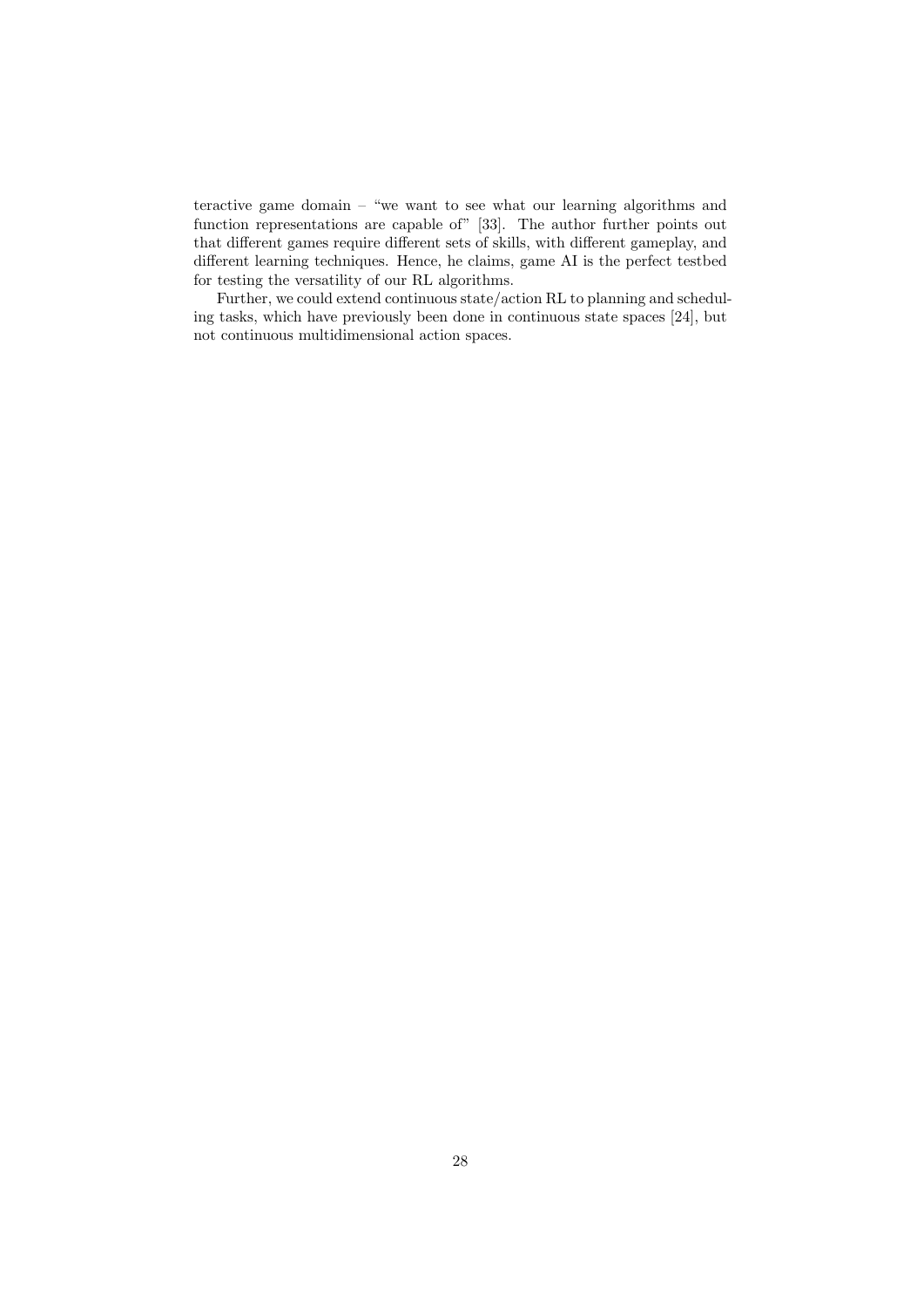teractive game domain – "we want to see what our learning algorithms and function representations are capable of" [33]. The author further points out that different games require different sets of skills, with different gameplay, and different learning techniques. Hence, he claims, game AI is the perfect testbed for testing the versatility of our RL algorithms.

Further, we could extend continuous state/action RL to planning and scheduling tasks, which have previously been done in continuous state spaces [24], but not continuous multidimensional action spaces.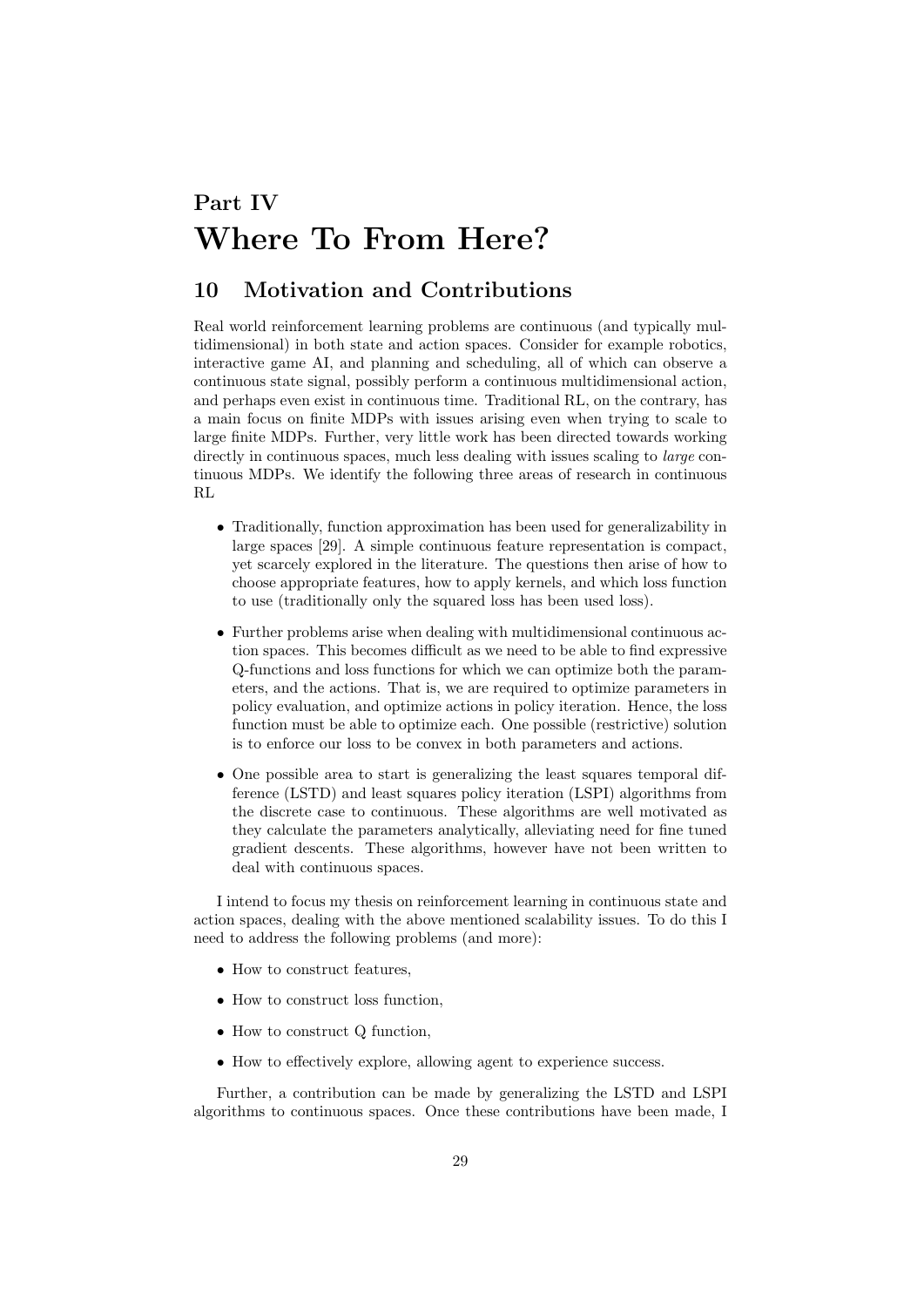# Part IV Where To From Here?

## 10 Motivation and Contributions

Real world reinforcement learning problems are continuous (and typically multidimensional) in both state and action spaces. Consider for example robotics, interactive game AI, and planning and scheduling, all of which can observe a continuous state signal, possibly perform a continuous multidimensional action, and perhaps even exist in continuous time. Traditional RL, on the contrary, has a main focus on finite MDPs with issues arising even when trying to scale to large finite MDPs. Further, very little work has been directed towards working directly in continuous spaces, much less dealing with issues scaling to *large* continuous MDPs. We identify the following three areas of research in continuous RL

- Traditionally, function approximation has been used for generalizability in large spaces [29]. A simple continuous feature representation is compact, yet scarcely explored in the literature. The questions then arise of how to choose appropriate features, how to apply kernels, and which loss function to use (traditionally only the squared loss has been used loss).
- Further problems arise when dealing with multidimensional continuous action spaces. This becomes difficult as we need to be able to find expressive Q-functions and loss functions for which we can optimize both the parameters, and the actions. That is, we are required to optimize parameters in policy evaluation, and optimize actions in policy iteration. Hence, the loss function must be able to optimize each. One possible (restrictive) solution is to enforce our loss to be convex in both parameters and actions.
- One possible area to start is generalizing the least squares temporal difference (LSTD) and least squares policy iteration (LSPI) algorithms from the discrete case to continuous. These algorithms are well motivated as they calculate the parameters analytically, alleviating need for fine tuned gradient descents. These algorithms, however have not been written to deal with continuous spaces.

I intend to focus my thesis on reinforcement learning in continuous state and action spaces, dealing with the above mentioned scalability issues. To do this I need to address the following problems (and more):

- How to construct features,
- How to construct loss function,
- How to construct Q function.
- How to effectively explore, allowing agent to experience success.

Further, a contribution can be made by generalizing the LSTD and LSPI algorithms to continuous spaces. Once these contributions have been made, I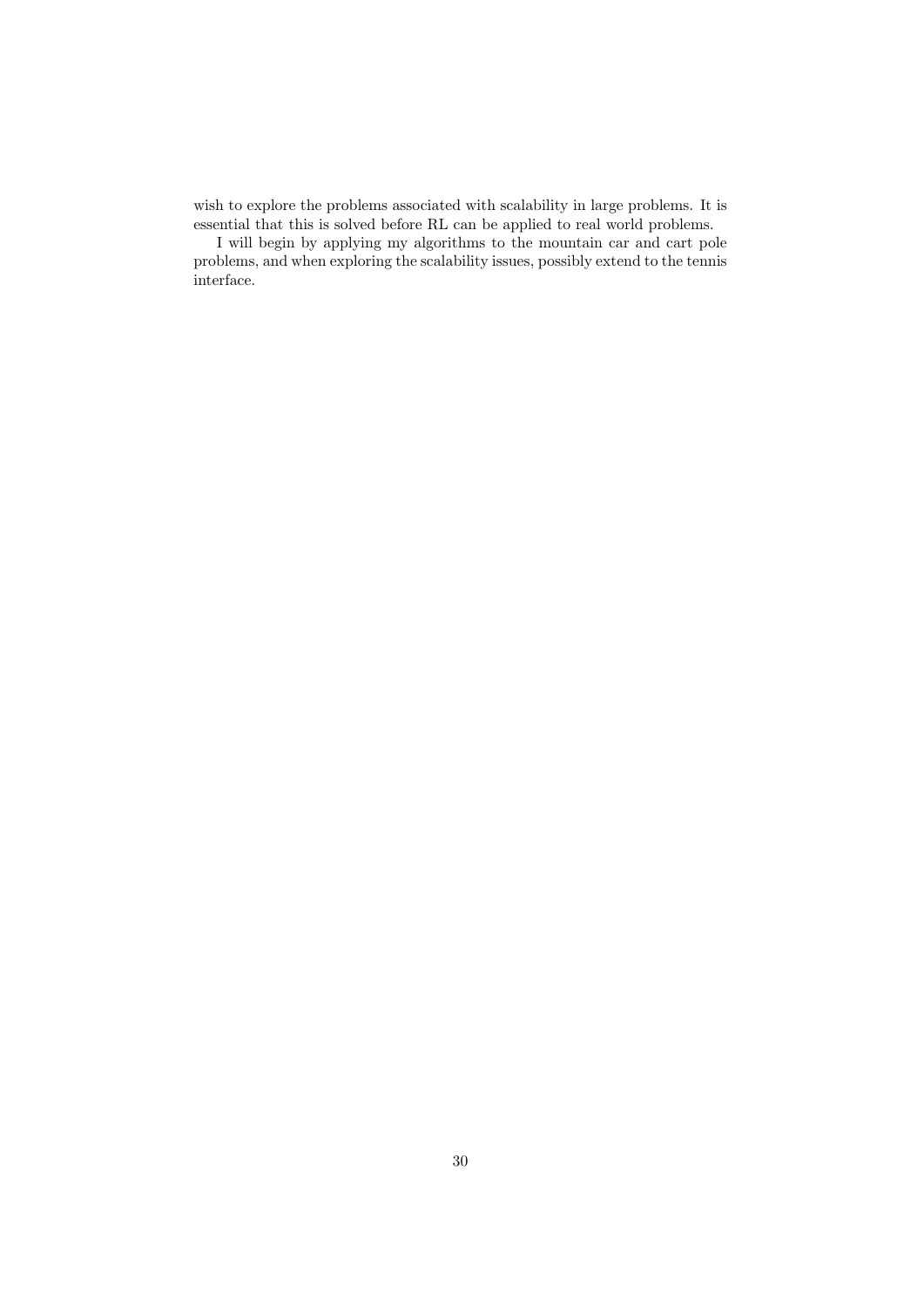wish to explore the problems associated with scalability in large problems. It is essential that this is solved before RL can be applied to real world problems.

I will begin by applying my algorithms to the mountain car and cart pole problems, and when exploring the scalability issues, possibly extend to the tennis interface.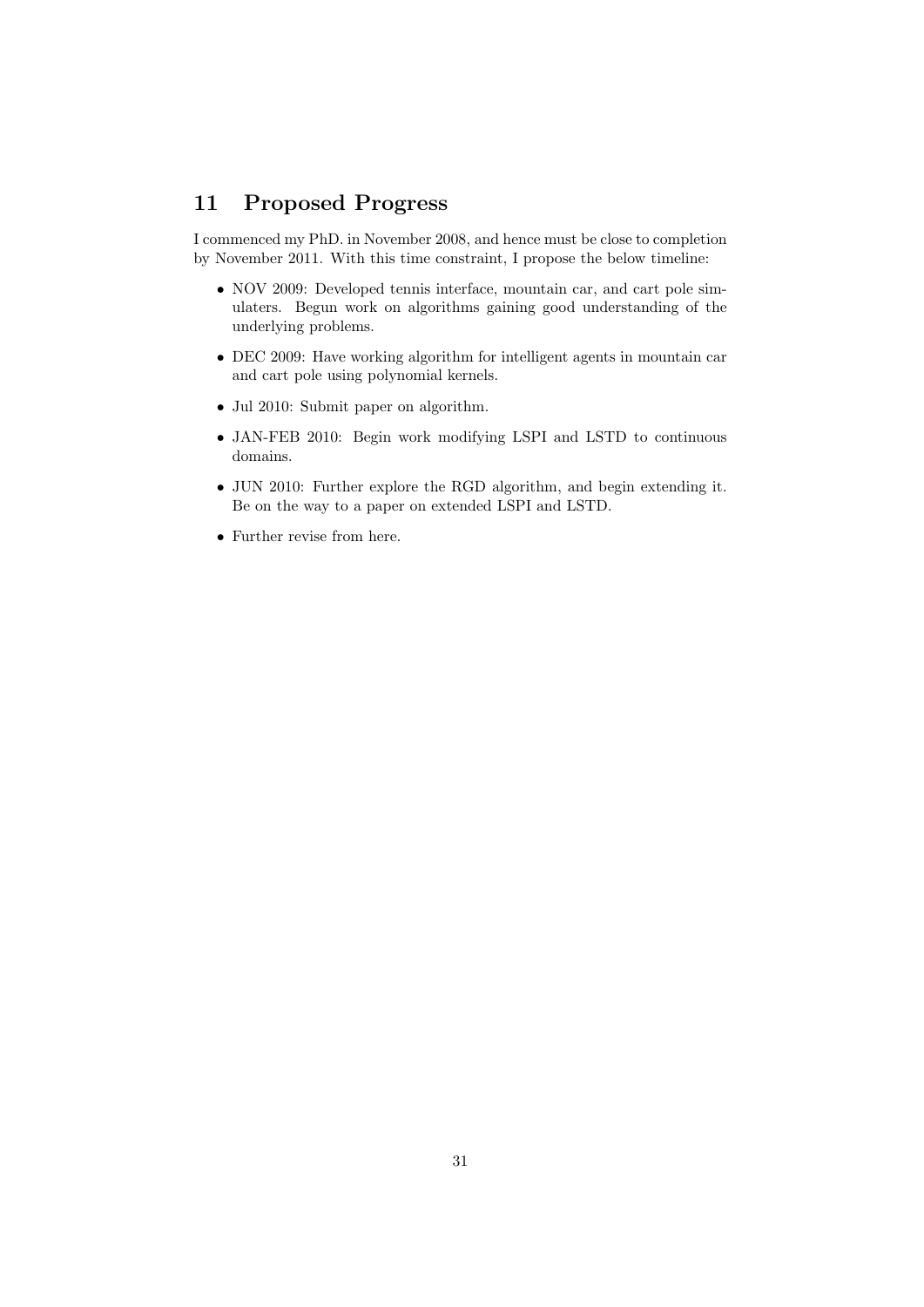## 11 Proposed Progress

I commenced my PhD. in November 2008, and hence must be close to completion by November 2011. With this time constraint, I propose the below timeline:

- NOV 2009: Developed tennis interface, mountain car, and cart pole simulaters. Begun work on algorithms gaining good understanding of the underlying problems.
- DEC 2009: Have working algorithm for intelligent agents in mountain car and cart pole using polynomial kernels.
- Jul 2010: Submit paper on algorithm.
- JAN-FEB 2010: Begin work modifying LSPI and LSTD to continuous domains.
- JUN 2010: Further explore the RGD algorithm, and begin extending it. Be on the way to a paper on extended LSPI and LSTD.
- Further revise from here.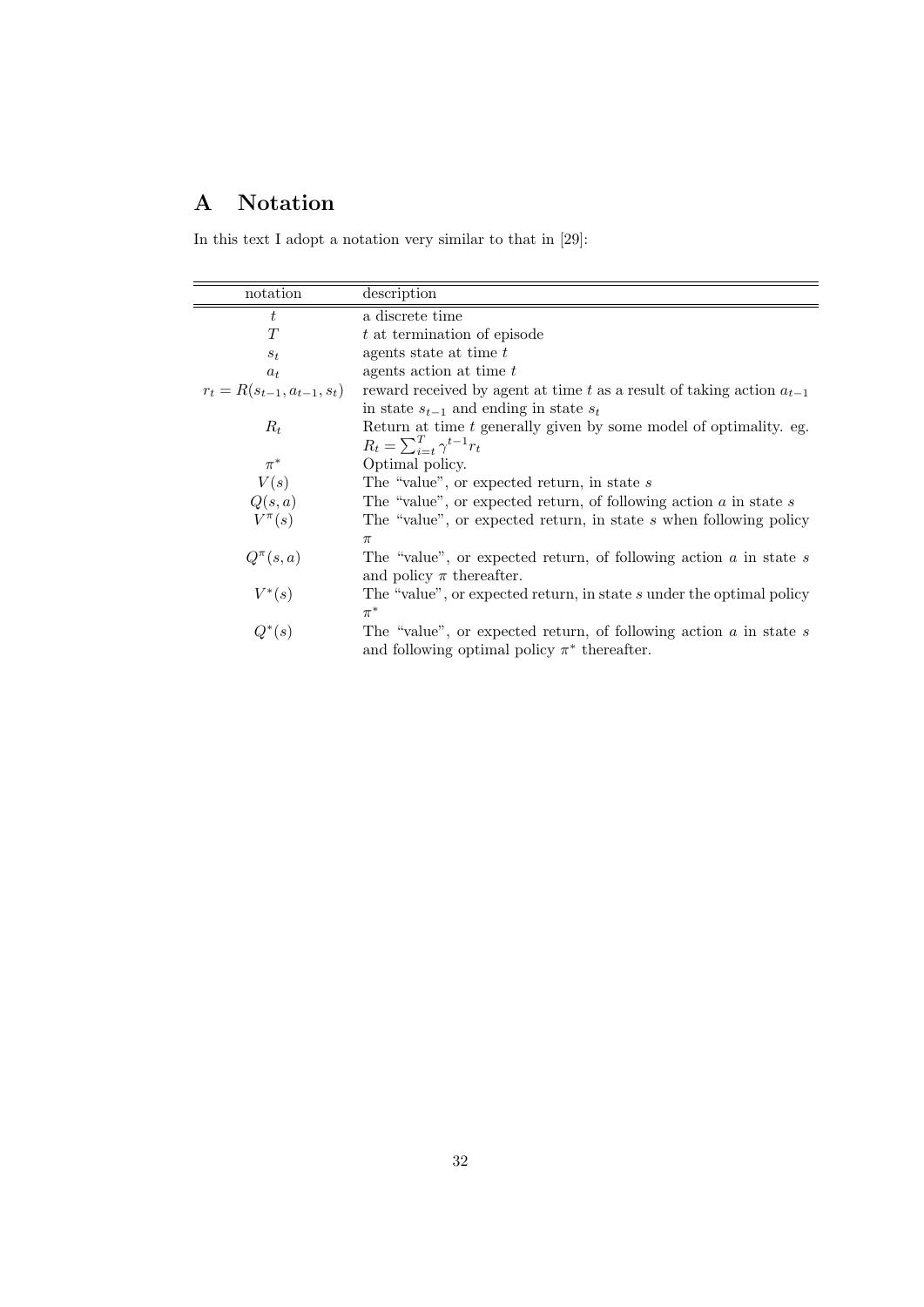## A Notation

In this text I adopt a notation very similar to that in [29]:

| notation                         | description                                                                |
|----------------------------------|----------------------------------------------------------------------------|
| t                                | a discrete time                                                            |
| T                                | t at termination of episode                                                |
| $S_t$                            | agents state at time t                                                     |
| $a_t$                            | agents action at time t                                                    |
| $r_t = R(s_{t-1}, a_{t-1}, s_t)$ | reward received by agent at time t as a result of taking action $a_{t-1}$  |
|                                  | in state $s_{t-1}$ and ending in state $s_t$                               |
| $R_t$                            | Return at time $t$ generally given by some model of optimality. eg.        |
|                                  | $R_t = \sum_{i=t}^{T} \gamma^{t-1} r_t$                                    |
| $\pi^*$                          | Optimal policy.                                                            |
| V(s)                             | The "value", or expected return, in state $s$                              |
| Q(s,a)                           | The "value", or expected return, of following action $a$ in state $s$      |
| $V^{\pi}(s)$                     | The "value", or expected return, in state s when following policy          |
|                                  | $\pi$                                                                      |
| $Q^{\pi}(s,a)$                   | The "value", or expected return, of following action $\alpha$ in state $s$ |
|                                  | and policy $\pi$ thereafter.                                               |
| $V^*(s)$                         | The "value", or expected return, in state s under the optimal policy       |
|                                  | $\pi^*$                                                                    |
| $Q^*(s)$                         | The "value", or expected return, of following action $\alpha$ in state $s$ |
|                                  | and following optimal policy $\pi^*$ thereafter.                           |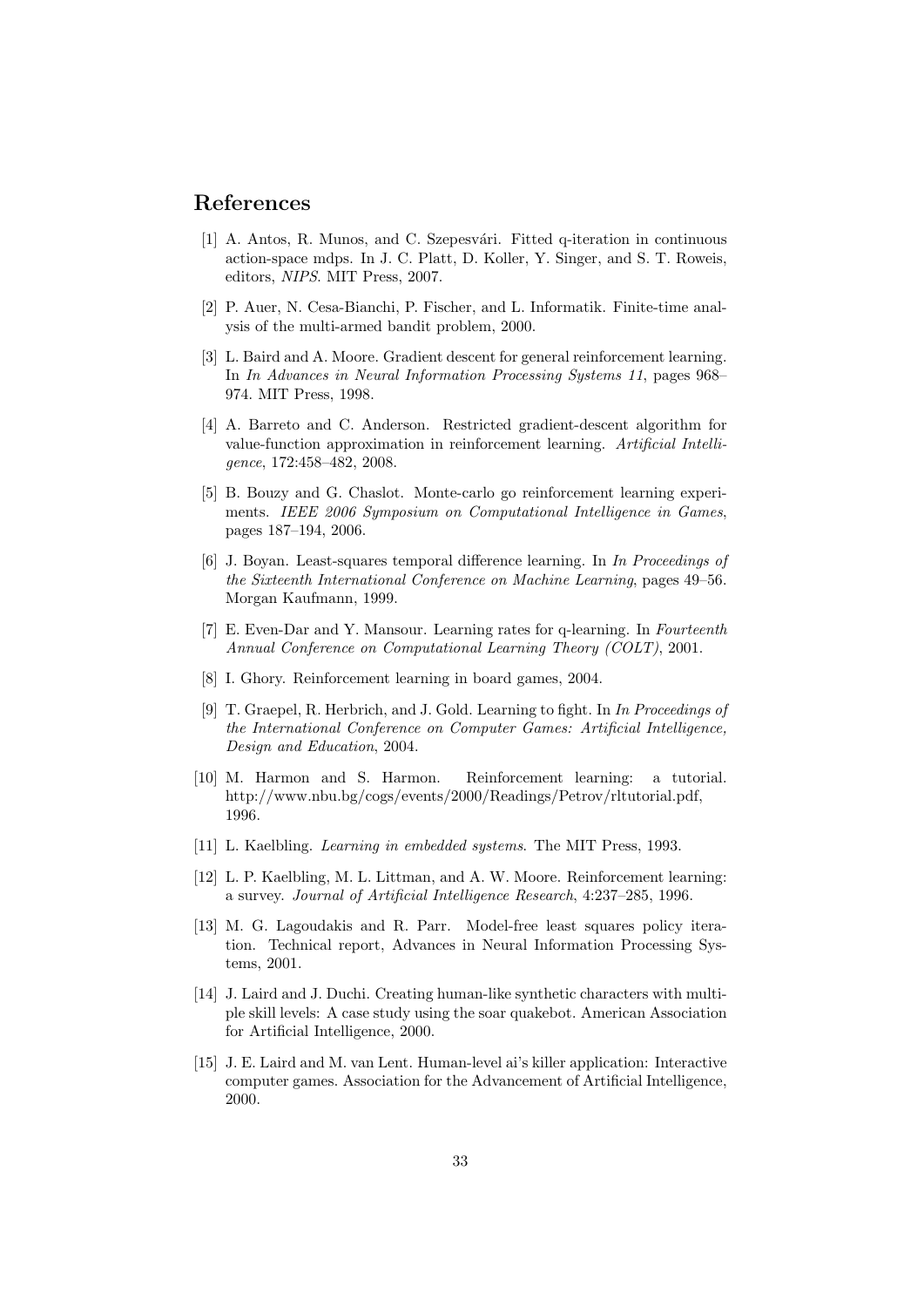## References

- [1] A. Antos, R. Munos, and C. Szepesvári. Fitted q-iteration in continuous action-space mdps. In J. C. Platt, D. Koller, Y. Singer, and S. T. Roweis, editors, NIPS. MIT Press, 2007.
- [2] P. Auer, N. Cesa-Bianchi, P. Fischer, and L. Informatik. Finite-time analysis of the multi-armed bandit problem, 2000.
- [3] L. Baird and A. Moore. Gradient descent for general reinforcement learning. In In Advances in Neural Information Processing Systems 11, pages 968– 974. MIT Press, 1998.
- [4] A. Barreto and C. Anderson. Restricted gradient-descent algorithm for value-function approximation in reinforcement learning. Artificial Intelligence, 172:458–482, 2008.
- [5] B. Bouzy and G. Chaslot. Monte-carlo go reinforcement learning experiments. IEEE 2006 Symposium on Computational Intelligence in Games, pages 187–194, 2006.
- [6] J. Boyan. Least-squares temporal difference learning. In In Proceedings of the Sixteenth International Conference on Machine Learning, pages 49–56. Morgan Kaufmann, 1999.
- [7] E. Even-Dar and Y. Mansour. Learning rates for q-learning. In Fourteenth Annual Conference on Computational Learning Theory (COLT), 2001.
- [8] I. Ghory. Reinforcement learning in board games, 2004.
- [9] T. Graepel, R. Herbrich, and J. Gold. Learning to fight. In In Proceedings of the International Conference on Computer Games: Artificial Intelligence, Design and Education, 2004.
- [10] M. Harmon and S. Harmon. Reinforcement learning: a tutorial. http://www.nbu.bg/cogs/events/2000/Readings/Petrov/rltutorial.pdf, 1996.
- [11] L. Kaelbling. *Learning in embedded systems*. The MIT Press, 1993.
- [12] L. P. Kaelbling, M. L. Littman, and A. W. Moore. Reinforcement learning: a survey. Journal of Artificial Intelligence Research, 4:237–285, 1996.
- [13] M. G. Lagoudakis and R. Parr. Model-free least squares policy iteration. Technical report, Advances in Neural Information Processing Systems, 2001.
- [14] J. Laird and J. Duchi. Creating human-like synthetic characters with multiple skill levels: A case study using the soar quakebot. American Association for Artificial Intelligence, 2000.
- [15] J. E. Laird and M. van Lent. Human-level ai's killer application: Interactive computer games. Association for the Advancement of Artificial Intelligence, 2000.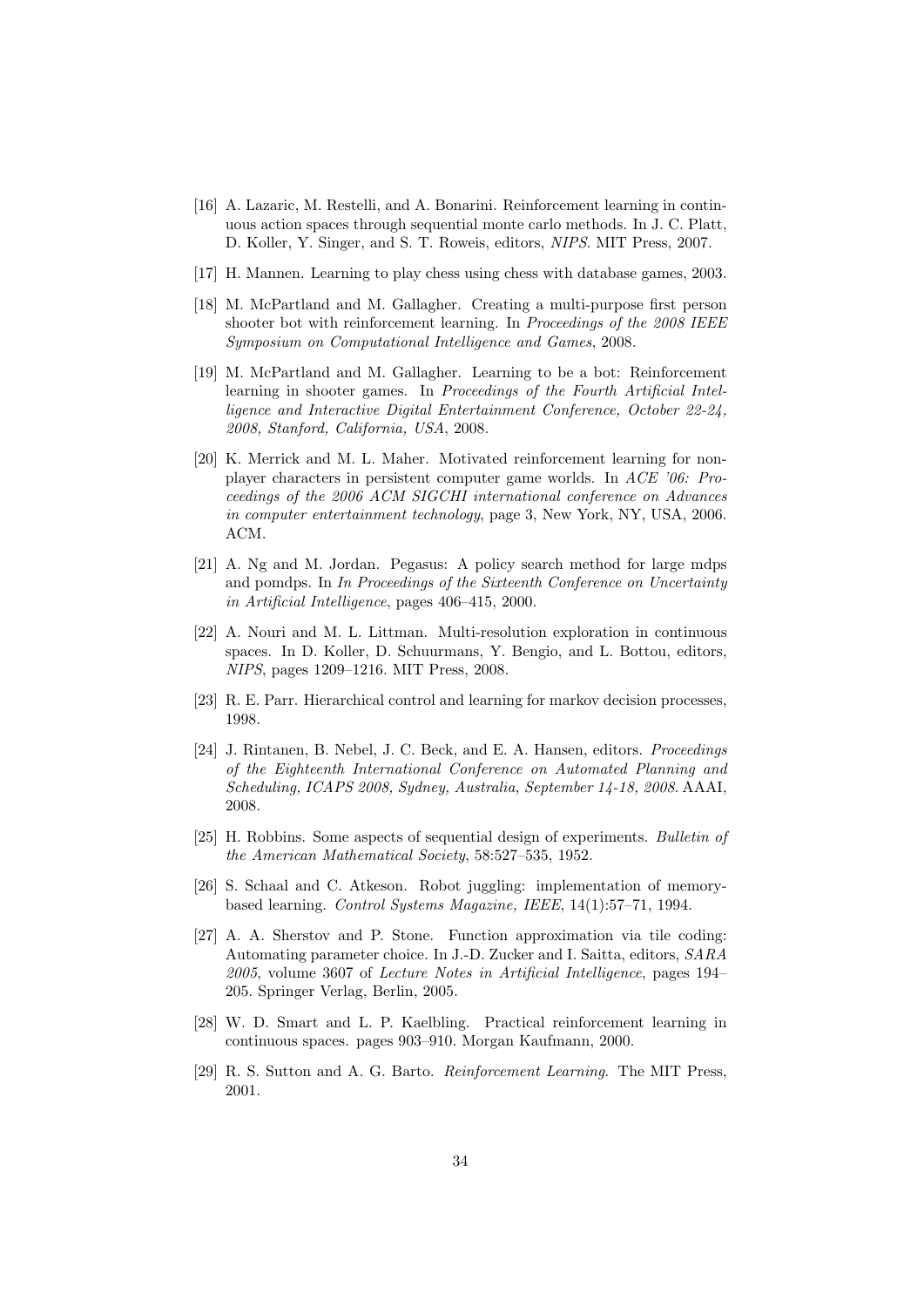- [16] A. Lazaric, M. Restelli, and A. Bonarini. Reinforcement learning in continuous action spaces through sequential monte carlo methods. In J. C. Platt, D. Koller, Y. Singer, and S. T. Roweis, editors, NIPS. MIT Press, 2007.
- [17] H. Mannen. Learning to play chess using chess with database games, 2003.
- [18] M. McPartland and M. Gallagher. Creating a multi-purpose first person shooter bot with reinforcement learning. In Proceedings of the 2008 IEEE Symposium on Computational Intelligence and Games, 2008.
- [19] M. McPartland and M. Gallagher. Learning to be a bot: Reinforcement learning in shooter games. In Proceedings of the Fourth Artificial Intelligence and Interactive Digital Entertainment Conference, October 22-24, 2008, Stanford, California, USA, 2008.
- [20] K. Merrick and M. L. Maher. Motivated reinforcement learning for nonplayer characters in persistent computer game worlds. In ACE '06: Proceedings of the 2006 ACM SIGCHI international conference on Advances in computer entertainment technology, page 3, New York, NY, USA, 2006. ACM.
- [21] A. Ng and M. Jordan. Pegasus: A policy search method for large mdps and pomdps. In In Proceedings of the Sixteenth Conference on Uncertainty in Artificial Intelligence, pages 406–415, 2000.
- [22] A. Nouri and M. L. Littman. Multi-resolution exploration in continuous spaces. In D. Koller, D. Schuurmans, Y. Bengio, and L. Bottou, editors, NIPS, pages 1209–1216. MIT Press, 2008.
- [23] R. E. Parr. Hierarchical control and learning for markov decision processes, 1998.
- [24] J. Rintanen, B. Nebel, J. C. Beck, and E. A. Hansen, editors. Proceedings of the Eighteenth International Conference on Automated Planning and Scheduling, ICAPS 2008, Sydney, Australia, September 14-18, 2008. AAAI, 2008.
- [25] H. Robbins. Some aspects of sequential design of experiments. Bulletin of the American Mathematical Society, 58:527–535, 1952.
- [26] S. Schaal and C. Atkeson. Robot juggling: implementation of memorybased learning. Control Systems Magazine, IEEE, 14(1):57–71, 1994.
- [27] A. A. Sherstov and P. Stone. Function approximation via tile coding: Automating parameter choice. In J.-D. Zucker and I. Saitta, editors, SARA 2005, volume 3607 of Lecture Notes in Artificial Intelligence, pages 194– 205. Springer Verlag, Berlin, 2005.
- [28] W. D. Smart and L. P. Kaelbling. Practical reinforcement learning in continuous spaces. pages 903–910. Morgan Kaufmann, 2000.
- [29] R. S. Sutton and A. G. Barto. Reinforcement Learning. The MIT Press, 2001.